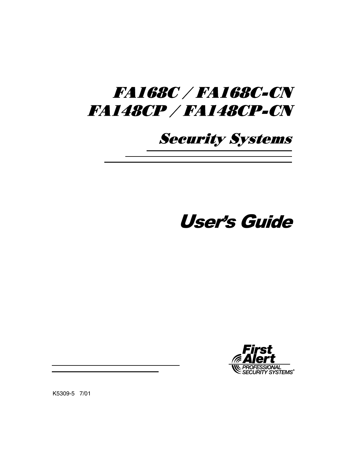# *FA168C / FA168C-CN FA148CP / FA148CP-CN*

## **Security Systems**

# User's Guide



K5309-5 7/01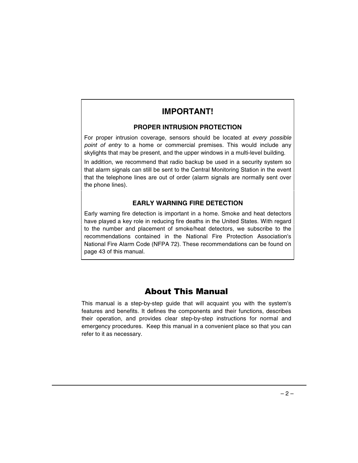## **IMPORTANT!**

### **PROPER INTRUSION PROTECTION**

For proper intrusion coverage, sensors should be located at every possible point of entry to a home or commercial premises. This would include any skylights that may be present, and the upper windows in a multi-level building.

In addition, we recommend that radio backup be used in a security system so that alarm signals can still be sent to the Central Monitoring Station in the event that the telephone lines are out of order (alarm signals are normally sent over the phone lines).

### **EARLY WARNING FIRE DETECTION**

Early warning fire detection is important in a home. Smoke and heat detectors have played a key role in reducing fire deaths in the United States. With regard to the number and placement of smoke/heat detectors, we subscribe to the recommendations contained in the National Fire Protection Association's National Fire Alarm Code (NFPA 72). These recommendations can be found on page 43 of this manual.

## **About This Manual**

This manual is a step-by-step guide that will acquaint you with the system's features and benefits. It defines the components and their functions, describes their operation, and provides clear step-by-step instructions for normal and emergency procedures. Keep this manual in a convenient place so that you can refer to it as necessary.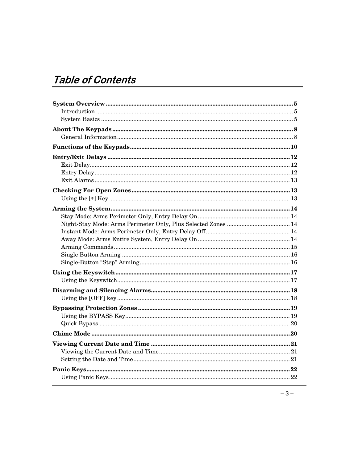## Table of Contents

| $\label{eq:1} \textbf{Introduction} \textcolor{red}{\textbf{}} \textcolor{red}{\textbf{}} \textcolor{red}{\textbf{}} \textcolor{red}{\textbf{}} \textcolor{red}{\textbf{}} \textcolor{red}{\textbf{}} \textcolor{red}{\textbf{100}} \textcolor{red}{\textbf{110}} \textcolor{red}{\textbf{120}} \textcolor{red}{\textbf{130}} \textcolor{red}{\textbf{160}} \textcolor{red}{\textbf{170}} \textcolor{red}{\textbf{180}} \textcolor{red}{\textbf{190}} \textcolor{red}{\textbf{190}} \textcolor{red}{\textbf$ |  |
|--------------------------------------------------------------------------------------------------------------------------------------------------------------------------------------------------------------------------------------------------------------------------------------------------------------------------------------------------------------------------------------------------------------------------------------------------------------------------------------------------------------|--|
|                                                                                                                                                                                                                                                                                                                                                                                                                                                                                                              |  |
|                                                                                                                                                                                                                                                                                                                                                                                                                                                                                                              |  |
|                                                                                                                                                                                                                                                                                                                                                                                                                                                                                                              |  |
|                                                                                                                                                                                                                                                                                                                                                                                                                                                                                                              |  |
|                                                                                                                                                                                                                                                                                                                                                                                                                                                                                                              |  |
|                                                                                                                                                                                                                                                                                                                                                                                                                                                                                                              |  |
|                                                                                                                                                                                                                                                                                                                                                                                                                                                                                                              |  |
|                                                                                                                                                                                                                                                                                                                                                                                                                                                                                                              |  |
|                                                                                                                                                                                                                                                                                                                                                                                                                                                                                                              |  |
|                                                                                                                                                                                                                                                                                                                                                                                                                                                                                                              |  |
|                                                                                                                                                                                                                                                                                                                                                                                                                                                                                                              |  |
|                                                                                                                                                                                                                                                                                                                                                                                                                                                                                                              |  |
|                                                                                                                                                                                                                                                                                                                                                                                                                                                                                                              |  |
|                                                                                                                                                                                                                                                                                                                                                                                                                                                                                                              |  |
|                                                                                                                                                                                                                                                                                                                                                                                                                                                                                                              |  |
|                                                                                                                                                                                                                                                                                                                                                                                                                                                                                                              |  |
|                                                                                                                                                                                                                                                                                                                                                                                                                                                                                                              |  |
|                                                                                                                                                                                                                                                                                                                                                                                                                                                                                                              |  |
|                                                                                                                                                                                                                                                                                                                                                                                                                                                                                                              |  |
|                                                                                                                                                                                                                                                                                                                                                                                                                                                                                                              |  |
|                                                                                                                                                                                                                                                                                                                                                                                                                                                                                                              |  |
|                                                                                                                                                                                                                                                                                                                                                                                                                                                                                                              |  |
|                                                                                                                                                                                                                                                                                                                                                                                                                                                                                                              |  |
|                                                                                                                                                                                                                                                                                                                                                                                                                                                                                                              |  |
|                                                                                                                                                                                                                                                                                                                                                                                                                                                                                                              |  |
|                                                                                                                                                                                                                                                                                                                                                                                                                                                                                                              |  |
|                                                                                                                                                                                                                                                                                                                                                                                                                                                                                                              |  |
|                                                                                                                                                                                                                                                                                                                                                                                                                                                                                                              |  |
|                                                                                                                                                                                                                                                                                                                                                                                                                                                                                                              |  |
|                                                                                                                                                                                                                                                                                                                                                                                                                                                                                                              |  |
|                                                                                                                                                                                                                                                                                                                                                                                                                                                                                                              |  |
|                                                                                                                                                                                                                                                                                                                                                                                                                                                                                                              |  |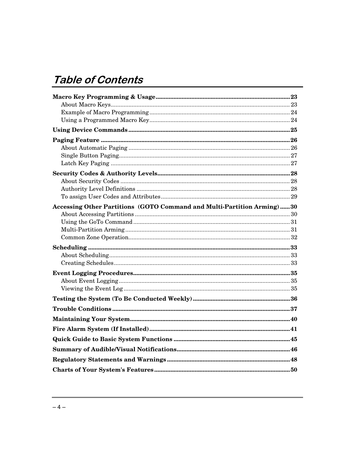## **Table of Contents**

| Accessing Other Partitions (GOTO Command and Multi-Partition Arming)30 |  |
|------------------------------------------------------------------------|--|
|                                                                        |  |
|                                                                        |  |
|                                                                        |  |
|                                                                        |  |
|                                                                        |  |
|                                                                        |  |
|                                                                        |  |
|                                                                        |  |
|                                                                        |  |
|                                                                        |  |
|                                                                        |  |
|                                                                        |  |
|                                                                        |  |
|                                                                        |  |
|                                                                        |  |
|                                                                        |  |
|                                                                        |  |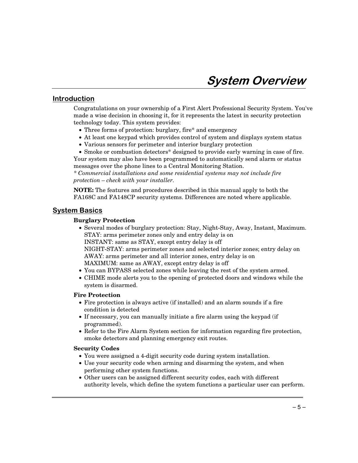### <u>Introduction</u>

Congratulations on your ownership of a First Alert Professional Security System. You've made a wise decision in choosing it, for it represents the latest in security protection technology today. This system provides:

- Three forms of protection: burglary, fire\* and emergency
- At least one keypad which provides control of system and displays system status
- Various sensors for perimeter and interior burglary protection

• Smoke or combustion detectors\* designed to provide early warning in case of fire.

Your system may also have been programmed to automatically send alarm or status messages over the phone lines to a Central Monitoring Station.

*\* Commercial installations and some residential systems may not include fire protection – check with your installer.*

**NOTE:** The features and procedures described in this manual apply to both the FA168C and FA148CP security systems. Differences are noted where applicable.

### <u>System Basics</u>

#### **Burglary Protection**

- Several modes of burglary protection: Stay, Night-Stay, Away, Instant, Maximum. STAY: arms perimeter zones only and entry delay is on INSTANT: same as STAY, except entry delay is off NIGHT-STAY: arms perimeter zones and selected interior zones; entry delay on AWAY: arms perimeter and all interior zones, entry delay is on MAXIMUM: same as AWAY, except entry delay is off
- You can BYPASS selected zones while leaving the rest of the system armed.
- CHIME mode alerts you to the opening of protected doors and windows while the system is disarmed.

#### **Fire Protection**

- Fire protection is always active (if installed) and an alarm sounds if a fire condition is detected
- If necessary, you can manually initiate a fire alarm using the keypad (if programmed).
- Refer to the Fire Alarm System section for information regarding fire protection, smoke detectors and planning emergency exit routes.

#### **Security Codes**

- You were assigned a 4-digit security code during system installation.
- Use your security code when arming and disarming the system, and when performing other system functions.
- Other users can be assigned different security codes, each with different authority levels, which define the system functions a particular user can perform.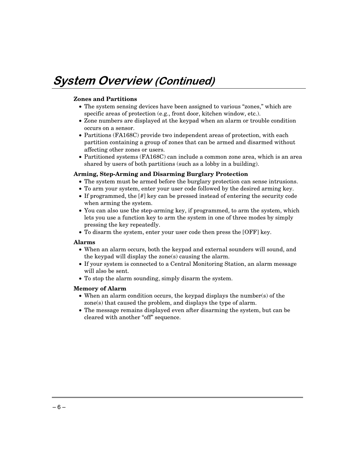## **System Overview (Continued)**

#### **Zones and Partitions**

- The system sensing devices have been assigned to various "zones," which are specific areas of protection (e.g., front door, kitchen window, etc.).
- Zone numbers are displayed at the keypad when an alarm or trouble condition occurs on a sensor.
- Partitions (FA168C) provide two independent areas of protection, with each partition containing a group of zones that can be armed and disarmed without affecting other zones or users.
- Partitioned systems (FA168C) can include a common zone area, which is an area shared by users of both partitions (such as a lobby in a building).

#### **Arming, Step-Arming and Disarming Burglary Protection**

- The system must be armed before the burglary protection can sense intrusions.
- To arm your system, enter your user code followed by the desired arming key.
- If programmed, the [#] key can be pressed instead of entering the security code when arming the system.
- You can also use the step-arming key, if programmed, to arm the system, which lets you use a function key to arm the system in one of three modes by simply pressing the key repeatedly.
- To disarm the system, enter your user code then press the [OFF] key.

#### **Alarms**

- When an alarm occurs, both the keypad and external sounders will sound, and the keypad will display the zone(s) causing the alarm.
- If your system is connected to a Central Monitoring Station, an alarm message will also be sent.
- To stop the alarm sounding, simply disarm the system.

#### **Memory of Alarm**

- When an alarm condition occurs, the keypad displays the number(s) of the zone(s) that caused the problem, and displays the type of alarm.
- The message remains displayed even after disarming the system, but can be cleared with another "off" sequence.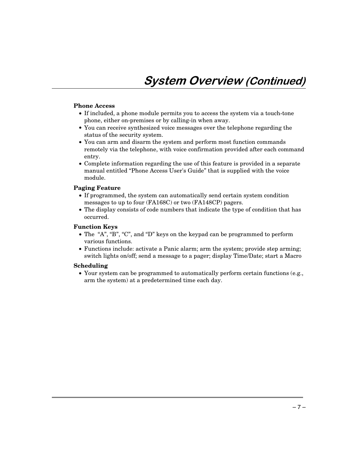#### **Phone Access**

- If included, a phone module permits you to access the system via a touch-tone phone, either on-premises or by calling-in when away.
- You can receive synthesized voice messages over the telephone regarding the status of the security system.
- You can arm and disarm the system and perform most function commands remotely via the telephone, with voice confirmation provided after each command entry.
- Complete information regarding the use of this feature is provided in a separate manual entitled "Phone Access User's Guide" that is supplied with the voice module.

#### **Paging Feature**

- If programmed, the system can automatically send certain system condition messages to up to four (FA168C) or two (FA148CP) pagers.
- The display consists of code numbers that indicate the type of condition that has occurred.

#### **Function Keys**

- The "A", "B", "C", and "D" keys on the keypad can be programmed to perform various functions.
- Functions include: activate a Panic alarm; arm the system; provide step arming; switch lights on/off; send a message to a pager; display Time/Date; start a Macro

#### **Scheduling**

• Your system can be programmed to automatically perform certain functions (e.g., arm the system) at a predetermined time each day.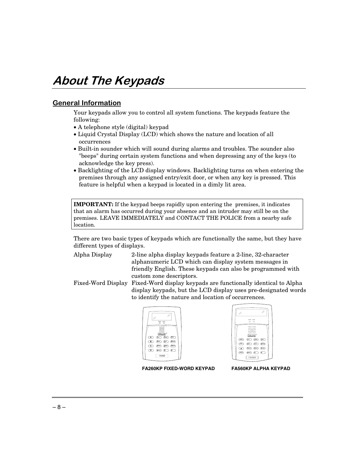## About The Keypads

## <u>General Information</u>

Your keypads allow you to control all system functions. The keypads feature the following:

- A telephone style (digital) keypad
- Liquid Crystal Display (LCD) which shows the nature and location of all occurrences
- Built-in sounder which will sound during alarms and troubles. The sounder also "beeps" during certain system functions and when depressing any of the keys (to acknowledge the key press).
- Backlighting of the LCD display windows. Backlighting turns on when entering the premises through any assigned entry/exit door, or when any key is pressed. This feature is helpful when a keypad is located in a dimly lit area.

**IMPORTANT:** If the keypad beeps rapidly upon entering the premises, it indicates that an alarm has occurred during your absence and an intruder may still be on the premises. LEAVE IMMEDIATELY and CONTACT THE POLICE from a nearby safe location.

There are two basic types of keypads which are functionally the same, but they have different types of displays.

- Alpha Display 2-line alpha display keypads feature a 2-line, 32-character alphanumeric LCD which can display system messages in friendly English. These keypads can also be programmed with custom zone descriptors.
- Fixed-Word Display Fixed-Word display keypads are functionally identical to Alpha display keypads, but the LCD display uses pre-designated words to identify the nature and location of occurrences.





**FA260KP FIXED-WORD KEYPAD FA560KP ALPHA KEYPAD**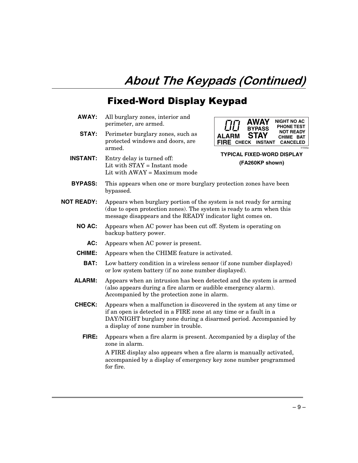## About The Keypads (Continued)

## **Fixed-Word Display Keypad**

**AWAY:** All burglary zones, interior and perimeter, are armed. **STAY:** Perimeter burglary zones, such as protected windows and doors, are armed. **INSTANT:** Entry delay is turned off: Lit with STAY = Instant mode Lit with AWAY = Maximum mode **ALARM FIRE CHECK INSTANT CANCELED AWAY BYPASS STAY NIGHT NO AC NOT READY CHIME BAT PHONE TEST** 6150disp **TYPICAL FIXED-WORD DISPLAY (FA260KP shown) BYPASS:** This appears when one or more burglary protection zones have been bypassed. **NOT READY:** Appears when burglary portion of the system is not ready for arming (due to open protection zones). The system is ready to arm when this message disappears and the READY indicator light comes on. **NO AC:** Appears when AC power has been cut off. System is operating on backup battery power. **AC:** Appears when AC power is present. **CHIME:** Appears when the CHIME feature is activated. **BAT:** Low battery condition in a wireless sensor (if zone number displayed) or low system battery (if no zone number displayed). **ALARM:** Appears when an intrusion has been detected and the system is armed (also appears during a fire alarm or audible emergency alarm). Accompanied by the protection zone in alarm. **CHECK:** Appears when a malfunction is discovered in the system at any time or if an open is detected in a FIRE zone at any time or a fault in a DAY/NIGHT burglary zone during a disarmed period. Accompanied by a display of zone number in trouble. **FIRE:** Appears when a fire alarm is present. Accompanied by a display of the zone in alarm. A FIRE display also appears when a fire alarm is manually activated, accompanied by a display of emergency key zone number programmed for fire.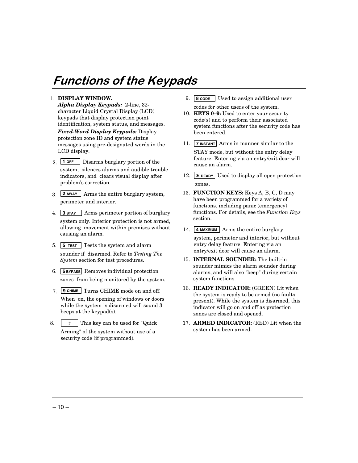## **Functions of the Keypads**

#### 1. **DISPLAY WINDOW.**

*Alpha Display Keypads:* 2-line, 32 character Liquid Crystal Display (LCD) keypads that display protection point identification, system status, and messages.

*Fixed-Word Display Keypads:* Display protection zone ID and system status messages using pre-designated words in the LCD display.

- 2. **1 OFF** Disarms burglary portion of the system, silences alarms and audible trouble indicators, and clears visual display after problem's correction.
- 3. **2 AWAY** Arms the entire burglary system, perimeter and interior.
- 4. **3 STAY** Arms perimeter portion of burglary system only. Interior protection is not armed, allowing movement within premises without causing an alarm.
- 5. **5 TEST** Tests the system and alarm sounder if disarmed. Refer to *Testing The System* section for test procedures.
- 6. **6 BYPASS** Removes individual protection zones from being monitored by the system.
- 7. **9 CHIME** Turns CHIME mode on and off. When on, the opening of windows or doors while the system is disarmed will sound 3 beeps at the keypad(s).
- 8.#This key can be used for "Quick Arming" of the system without use of a security code (if programmed).
- 9. **8 CODE** Used to assign additional user codes for other users of the system.
- 10. **KEYS 0–9:** Used to enter your security code(s) and to perform their associated system functions after the security code has been entered.
- 11. **7 INSTANT** Arms in manner similar to the STAY mode, but without the entry delay feature. Entering via an entry/exit door will cause an alarm.
- 12. **\*** READY Used to display all open protection zones.
- 13. **FUNCTION KEYS:** Keys A, B, C, D may have been programmed for a variety of functions, including panic (emergency) functions. For details, see the *Function Keys* section.
- 14. **4 MAXIMUM** Arms the entire burglary system, perimeter and interior, but without entry delay feature. Entering via an entry/exit door will cause an alarm.
- 15. **INTERNAL SOUNDER:** The built-in sounder mimics the alarm sounder during alarms, and will also "beep" during certain system functions.
- 16. **READY INDICATOR:** (GREEN) Lit when the system is ready to be armed (no faults present). While the system is disarmed, this indicator will go on and off as protection zones are closed and opened.
- 17. **ARMED INDICATOR:** (RED) Lit when the system has been armed.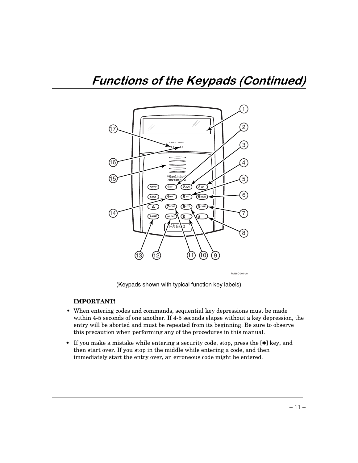

(Keypads shown with typical function key labels)

#### **IMPORTANT!**

- **•** When entering codes and commands, sequential key depressions must be made within 4-5 seconds of one another. If 4-5 seconds elapse without a key depression, the entry will be aborted and must be repeated from its beginning. Be sure to observe this precaution when performing any of the procedures in this manual.
- If you make a mistake while entering a security code, stop, press the [ $\ast$ ] key, and then start over. If you stop in the middle while entering a code, and then immediately start the entry over, an erroneous code might be entered.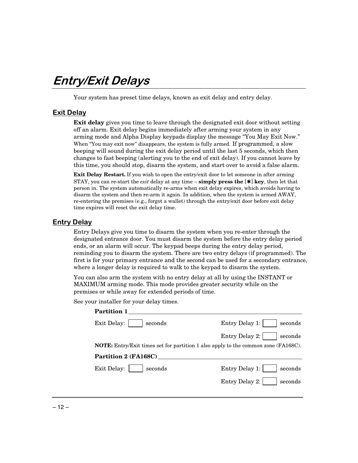## Entry/Exit Delays

Your system has preset time delays, known as exit delay and entry delay.

### **Exit Delay**

**Exit delay** gives you time to leave through the designated exit door without setting off an alarm. Exit delay begins immediately after arming your system in any arming mode and Alpha Display keypads display the message "You May Exit Now." When "You may exit now" disappears, the system is fully armed. If programmed, a slow beeping will sound during the exit delay period until the last 5 seconds, which then changes to fast beeping (alerting you to the end of exit delay). If you cannot leave by this time, you should stop, disarm the system, and start over to avoid a false alarm.

**Exit Delay Restart.** If you wish to open the entry/exit door to let someone in after arming STAY, you can re-start the *exit* delay at any time – **simply press the** [✱] **key**, then let that person in. The system automatically re-arms when exit delay expires, which avoids having to disarm the system and then re-arm it again. In addition, when the system is armed AWAY, re-entering the premises (e.g., forgot a wallet) through the entry/exit door before exit delay time expires will reset the exit delay time.

### **Entry Delay**

Entry Delays give you time to disarm the system when you re-enter through the designated entrance door. You must disarm the system before the entry delay period ends, or an alarm will occur. The keypad beeps during the entry delay period, reminding you to disarm the system. There are two entry delays (if programmed). The first is for your primary entrance and the second can be used for a secondary entrance, where a longer delay is required to walk to the keypad to disarm the system.

You can also arm the system with no entry delay at all by using the INSTANT or MAXIMUM arming mode. This mode provides greater security while on the premises or while away for extended periods of time.

See your installer for your delay times.

| <b>Partition 1</b>     |                                                                                           |
|------------------------|-------------------------------------------------------------------------------------------|
| Exit Delay:<br>seconds | Entry Delay 1:<br>seconds                                                                 |
|                        | Entry Delay 2:<br>seconds                                                                 |
|                        | <b>NOTE:</b> Entry/Exit times set for partition 1 also apply to the common zone (FA168C). |
| Partition 2 (FA168C)   |                                                                                           |
| Exit Delay:<br>seconds | Entry Delay 1:<br>seconds                                                                 |
|                        | Entry Delay 2:<br>seconds                                                                 |
|                        |                                                                                           |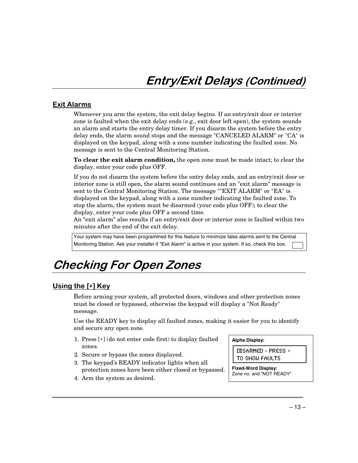## **Exit Alarms**

Whenever you arm the system, the exit delay begins. If an entry/exit door or interior zone is faulted when the exit delay ends (e.g., exit door left open), the system sounds an alarm and starts the entry delay timer. If you disarm the system before the entry delay ends, the alarm sound stops and the message "CANCELED ALARM" or "CA" is displayed on the keypad, along with a zone number indicating the faulted zone. No message is sent to the Central Monitoring Station.

**To clear the exit alarm condition,** the open zone must be made intact; to clear the display, enter your code plus OFF.

If you do not disarm the system before the entry delay ends, and an entry/exit door or interior zone is still open, the alarm sound continues and an "exit alarm" message is sent to the Central Monitoring Station. The message ""EXIT ALARM" or "EA" is displayed on the keypad, along with a zone number indicating the faulted zone. To stop the alarm, the system must be disarmed (your code plus OFF); to clear the display, enter your code plus OFF a second time.

An "exit alarm" also results if an entry/exit door or interior zone is faulted within two minutes after the end of the exit delay.

Your system may have been programmed for this feature to minimize false alarms sent to the Central Monitoring Station. Ask your installer if "Exit Alarm" is active in your system. If so, check this box.

## **Checking For Open Zones**

## <u>Using the [\*] Key</u>

Before arming your system, all protected doors, windows and other protection zones must be closed or bypassed, otherwise the keypad will display a "Not Ready" message.

Use the READY key to display all faulted zones, making it easier for you to identify and secure any open zone.

- 1. Press [∗] (do not enter code first) to display faulted zones.
- 2. Secure or bypass the zones displayed.
- 3. The keypad's READY indicator lights when all protection zones have been either closed or bypassed.
- 4. Arm the system as desired.

#### **Alpha Display:**

DISARMED - PRESS \* TO SHOW FAULTS

**Fixed-Word Display:** Zone no. and "NOT READY"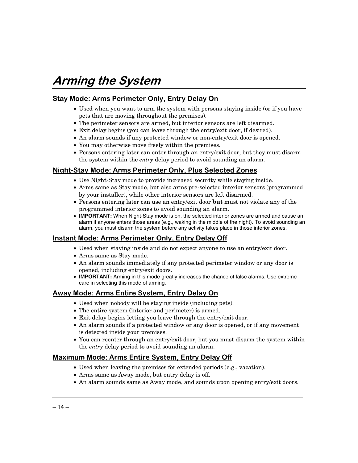## Arming the System

## <u>Stay Mode: Arms Perimeter Only, Entry Delay On</u>

- Used when you want to arm the system with persons staying inside (or if you have pets that are moving throughout the premises).
- The perimeter sensors are armed, but interior sensors are left disarmed.
- Exit delay begins (you can leave through the entry/exit door, if desired).
- An alarm sounds if any protected window or non-entry/exit door is opened.
- You may otherwise move freely within the premises.
- Persons entering later can enter through an entry/exit door, but they must disarm the system within the *entry* delay period to avoid sounding an alarm.

## <u>Night-Stay Mode: Arms Perimeter Only, Plus Selected Zones</u>

- Use Night-Stay mode to provide increased security while staying inside.
- Arms same as Stay mode, but also arms pre-selected interior sensors (programmed by your installer), while other interior sensors are left disarmed.
- Persons entering later can use an entry/exit door **but** must not violate any of the programmed interior zones to avoid sounding an alarm.
- **IMPORTANT:** When Night-Stay mode is on, the selected interior zones are armed and cause an alarm if anyone enters those areas (e.g., waking in the middle of the night). To avoid sounding an alarm, you must disarm the system before any activity takes place in those interior zones.

## <u>Instant Mode: Arms Perimeter Only, Entry Delay Off</u>

- Used when staying inside and do not expect anyone to use an entry/exit door.
- Arms same as Stay mode.
- An alarm sounds immediately if any protected perimeter window or any door is opened, including entry/exit doors.
- **IMPORTANT:** Arming in this mode greatly increases the chance of false alarms. Use extreme care in selecting this mode of arming.

### <u>Away Mode: Arms Entire System, Entry Delay On</u>

- Used when nobody will be staying inside (including pets).
- The entire system (interior and perimeter) is armed.
- Exit delay begins letting you leave through the entry/exit door.
- An alarm sounds if a protected window or any door is opened, or if any movement is detected inside your premises.
- You can reenter through an entry/exit door, but you must disarm the system within the *entry* delay period to avoid sounding an alarm.

## <u> Maximum Mode: Arms Entire System, Entry Delay Off</u>

- Used when leaving the premises for extended periods (e.g., vacation).
- Arms same as Away mode, but entry delay is off.
- An alarm sounds same as Away mode, and sounds upon opening entry/exit doors.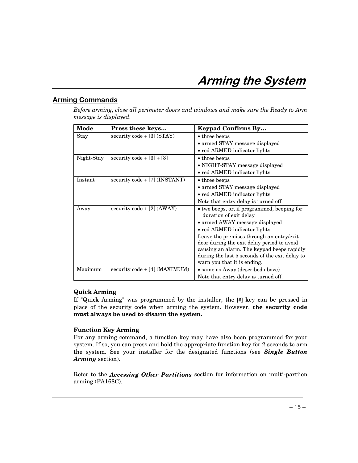## Arming the System

## <u>Arming Commands</u>

*Before arming, close all perimeter doors and windows and make sure the Ready to Arm message is displayed.*

| Mode       | Press these keys                | <b>Keypad Confirms By</b>                                                     |
|------------|---------------------------------|-------------------------------------------------------------------------------|
| Stay       | security code $+[3]$ (STAY)     | • three beeps                                                                 |
|            |                                 | • armed STAY message displayed                                                |
|            |                                 | • red ARMED indicator lights                                                  |
| Night-Stay | security code $+[3]+[3]$        | • three beeps                                                                 |
|            |                                 | · NIGHT-STAY message displayed                                                |
|            |                                 | • red ARMED indicator lights                                                  |
| Instant    | $security code + [7] (INSTANT)$ | • three beeps                                                                 |
|            |                                 | • armed STAY message displayed                                                |
|            |                                 | • red ARMED indicator lights                                                  |
|            |                                 | Note that entry delay is turned off.                                          |
| Away       | $\frac{1}{2}$ (AWAY)            | • two beeps, or, if programmed, beeping for                                   |
|            |                                 | duration of exit delay                                                        |
|            |                                 | • armed AWAY message displayed                                                |
|            |                                 | • red ARMED indicator lights                                                  |
|            |                                 | Leave the premises through an entry/exit                                      |
|            |                                 | door during the exit delay period to avoid                                    |
|            |                                 | causing an alarm. The keypad beeps rapidly                                    |
|            |                                 | during the last 5 seconds of the exit delay to<br>warn you that it is ending. |
| Maximum    | security code + [4] (MAXIMUM)   | • same as Away (described above)                                              |
|            |                                 | Note that entry delay is turned off.                                          |

### **Quick Arming**

If "Quick Arming" was programmed by the installer, the [#] key can be pressed in place of the security code when arming the system. However, **the security code must always be used to disarm the system.**

### **Function Key Arming**

For any arming command, a function key may have also been programmed for your system. If so, you can press and hold the appropriate function key for 2 seconds to arm the system. See your installer for the designated functions (see *Single Button Arming* section).

Refer to the *Accessing Other Partitions* section for information on multi-partiion arming (FA168C).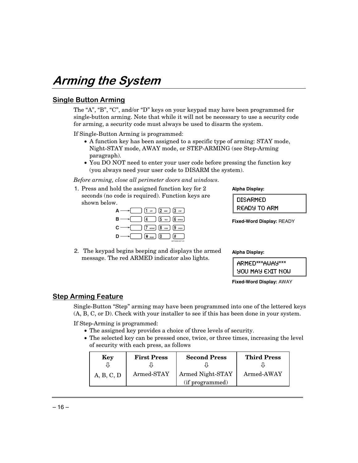## Arming the System

### <u>Single Button Arming</u>

The "A", "B", "C", and/or "D" keys on your keypad may have been programmed for single-button arming. Note that while it will not be necessary to use a security code for arming, a security code must always be used to disarm the system.

If Single-Button Arming is programmed:

- A function key has been assigned to a specific type of arming: STAY mode, Night-STAY mode, AWAY mode, or STEP-ARMING (see Step-Arming paragraph).
- You DO NOT need to enter your user code before pressing the function key (you always need your user code to DISARM the system).

*Before arming, close all perimeter doors and windows.*

1. Press and hold the assigned function key for 2 seconds (no code is required). Function keys are shown below.

| $\left[1 \text{ or } \right]$ $\left[2 \text{ and } \right]$ $\left[3 \text{ or } \right]$ |                                         |
|--------------------------------------------------------------------------------------------|-----------------------------------------|
| В<br>$4^{\circ}$                                                                           | $\frac{1}{5}$ Test $\frac{1}{6}$ bypass |
| С                                                                                          | $[7]$ instant) $[8]$ code $[9]$ check)  |
| $\star$ READY 0                                                                            | #<br>ADT3000-007-V0                     |

2. The keypad begins beeping and displays the armed message. The red ARMED indicator also lights.

**Alpha Display:**

DISARMED READY TO ARM

**Fixed-Word Display:** READY

**Alpha Display:**

| ARMED***AWAY***         |
|-------------------------|
| <b>900 MAY EXIT NOW</b> |

**Fixed-Word Display:** AWAY

### <u>Step Arming Feature</u>

Single-Button "Step" arming may have been programmed into one of the lettered keys (A, B, C, or D). Check with your installer to see if this has been done in your system.

If Step-Arming is programmed:

- The assigned key provides a choice of three levels of security.
- The selected key can be pressed once, twice, or three times, increasing the level of security with each press, as follows

| Key        | <b>First Press</b> | <b>Second Press</b> | <b>Third Press</b> |
|------------|--------------------|---------------------|--------------------|
|            |                    |                     |                    |
| A, B, C, D | Armed-STAY         | Armed Night-STAY    | Armed-AWAY         |
|            |                    | (if programmed)     |                    |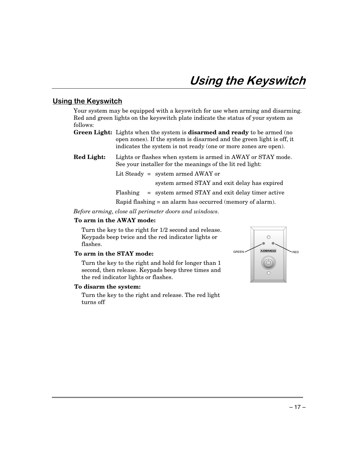### <u>Using the Keyswitch</u>

Your system may be equipped with a keyswitch for use when arming and disarming. Red and green lights on the keyswitch plate indicate the status of your system as follows:

- **Green Light:** Lights when the system is **disarmed and ready** to be armed (no open zones). If the system is disarmed and the green light is off, it indicates the system is not ready (one or more zones are open).
- **Red Light:** Lights or flashes when system is armed in AWAY or STAY mode. See your installer for the meanings of the lit red light:

Lit Steady = system armed AWAY or

system armed STAY and exit delay has expired

Flashing = system armed STAY and exit delay timer active

Rapid flashing = an alarm has occurred (memory of alarm).

*Before arming, close all perimeter doors and windows.*

#### **To arm in the AWAY mode:**

Turn the key to the right for 1/2 second and release. Keypads beep twice and the red indicator lights or flashes.

#### **To arm in the STAY mode:**

Turn the key to the right and hold for longer than 1 second, then release. Keypads beep three times and the red indicator lights or flashes.

#### **To disarm the system:**

Turn the key to the right and release. The red light turns off

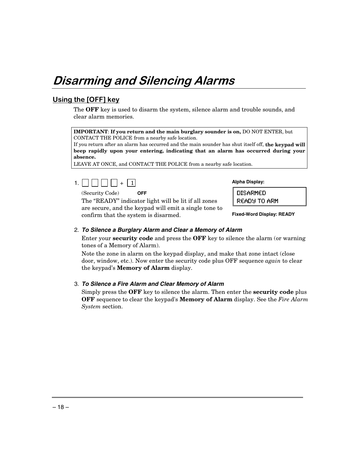## Disarming and Silencing Alarms

## Using the [OFF] key

The **OFF** key is used to disarm the system, silence alarm and trouble sounds, and clear alarm memories.

**IMPORTANT**: **If you return and the main burglary sounder is on,** DO NOT ENTER, but CONTACT THE POLICE from a nearby safe location.

If you return after an alarm has occurred and the main sounder has shut itself off, **the keypad will beep rapidly upon your entering, indicating that an alarm has occurred during your absence.**

LEAVE AT ONCE, and CONTACT THE POLICE from a nearby safe location.

1.  $\Box$ 

(Security Code) **OFF**

The "READY" indicator light will be lit if all zones are secure, and the keypad will emit a single tone to confirm that the system is disarmed.

**Alpha Display:**

DISARMED READY TO ARM

**Fixed-Word Display: READY**

#### 2. **To Silence a Burglary Alarm and Clear a Memory of Alarm**

Enter your **security code** and press the **OFF** key to silence the alarm (or warning tones of a Memory of Alarm).

Note the zone in alarm on the keypad display, and make that zone intact (close door, window, etc.). Now enter the security code plus OFF sequence *again* to clear the keypad's **Memory of Alarm** display.

#### 3. **To Silence a Fire Alarm and Clear Memory of Alarm**

Simply press the **OFF** key to silence the alarm. Then enter the **security code** plus **OFF** sequence to clear the keypad's **Memory of Alarm** display. See the *Fire Alarm System* section.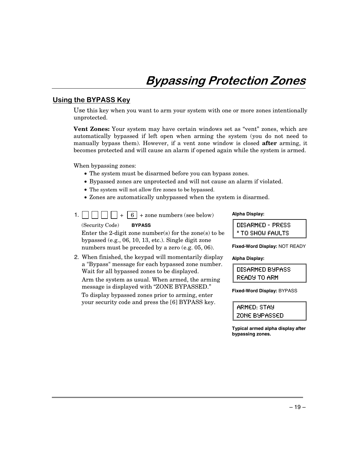### <u>Using the BYPASS Key</u>

Use this key when you want to arm your system with one or more zones intentionally unprotected.

**Vent Zones:** Your system may have certain windows set as "vent" zones, which are automatically bypassed if left open when arming the system (you do not need to manually bypass them). However, if a vent zone window is closed **after** arming, it becomes protected and will cause an alarm if opened again while the system is armed.

When bypassing zones:

- The system must be disarmed before you can bypass zones.
- Bypassed zones are unprotected and will not cause an alarm if violated.
- The system will not allow fire zones to be bypassed.
- Zones are automatically unbypassed when the system is disarmed.
- 1.  $\Box$

(Security Code) **BYPASS** Enter the 2-digit zone number(s) for the zone(s) to be bypassed (e.g., 06, 10, 13, etc.). Single digit zone numbers must be preceded by a zero (e.g. 05, 06).

2. When finished, the keypad will momentarily display a "Bypass" message for each bypassed zone number. Wait for all bypassed zones to be displayed.

Arm the system as usual. When armed, the arming message is displayed with "ZONE BYPASSED."

To display bypassed zones prior to arming, enter your security code and press the [6] BYPASS key.

#### **Alpha Display:**

| DISARMED - PRESS |  |
|------------------|--|
| * TO SHOW FAULTS |  |

**Fixed-Word Display:** NOT READY

#### **Alpha Display:**

DISARMED BYPASS READY TO ARM

**Fixed-Word Display:** BYPASS

ARMED: STAY ZONE BYPASSED

**Typical armed alpha display after bypassing zones.**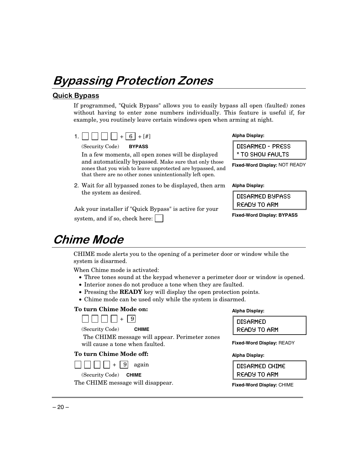## Bypassing Protection Zones

### **Quick Bypass**

If programmed, "Quick Bypass" allows you to easily bypass all open (faulted) zones without having to enter zone numbers individually. This feature is useful if, for example, you routinely leave certain windows open when arming at night.



(Security Code) **BYPASS**

In a few moments, all open zones will be displayed and automatically bypassed. Make sure that only those zones that you wish to leave unprotected are bypassed, and that there are no other zones unintentionally left open.

2. Wait for all bypassed zones to be displayed, then arm the system as desired.

Ask your installer if "Quick Bypass" is active for your system, and if so, check here:

## **Chime Mode**

CHIME mode alerts you to the opening of a perimeter door or window while the system is disarmed.

When Chime mode is activated:

- Three tones sound at the keypad whenever a perimeter door or window is opened.
- Interior zones do not produce a tone when they are faulted.
- Pressing the **READY** key will display the open protection points.
- Chime mode can be used only while the system is disarmed.

#### **To turn Chime Mode on:**



(Security Code) **CHIME**

 The CHIME message will appear. Perimeter zones will cause a tone when faulted.

### **To turn Chime Mode off:**

 $\Box \Box \Box \Box + 9$  again

(Security Code) **CHIME**

The CHIME message will disappear.

## **Alpha Display:**

**Alpha Display:**

**Alpha Display:**

DISARMED - PRESS \* TO SHOW FAULTS **Fixed-Word Display:** NOT READY

DISARMED BYPASS READY TO ARM

**Fixed-Word Display: BYPASS**

| DISARMED     |
|--------------|
| READY TO ARM |

**Fixed-Word Display:** READY

#### **Alpha Display:**

DISARMED CHIME READY TO ARM

**Fixed-Word Display:** CHIME

 $-20-$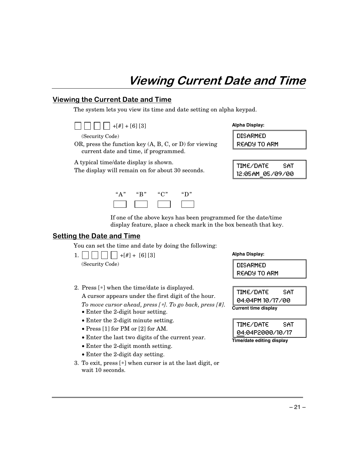## Viewing Current Date and Time

### <u>Viewing the Current Date and Time</u>

The system lets you view its time and date setting on alpha keypad.



(Security Code)

OR, press the function key (A, B, C, or D) for viewing current date and time, if programmed.

A typical time/date display is shown.

The display will remain on for about 30 seconds.



**Alpha Display:**

DISARMED READY TO ARM

| TIME/DATE        | SAT |
|------------------|-----|
| 12:05AM 05/09/00 |     |

If one of the above keys has been programmed for the date/time display feature, place a check mark in the box beneath that key.

### <u>Setting the Date and Time</u>

You can set the time and date by doing the following:

| $1.$ $\Box$ $\Box$ $\Box$ $\Box$ $+$ $[#]$ + $[6]$ $[3]$ |  |
|----------------------------------------------------------|--|
| (Security Code)                                          |  |

2. Press [∗] when the time/date is displayed. A cursor appears under the first digit of the hour.

*To move cursor ahead, press [*∗*]. To go back, press [#].*

- Enter the 2-digit hour setting.
- Enter the 2-digit minute setting.
- Press [1] for PM or [2] for AM.
- Enter the last two digits of the current year.
- Enter the 2-digit month setting.
- Enter the 2-digit day setting.
- 3. To exit, press [∗] when cursor is at the last digit, or wait 10 seconds.

#### **Alpha Display:**

DISARMED READY TO ARM

TIME/DATE SAT 04:04PM 10/17/00 **Current time display**

| TIME/DATE                 | SAT |
|---------------------------|-----|
| 04:04P2000/10/17          |     |
| Time/date editing display |     |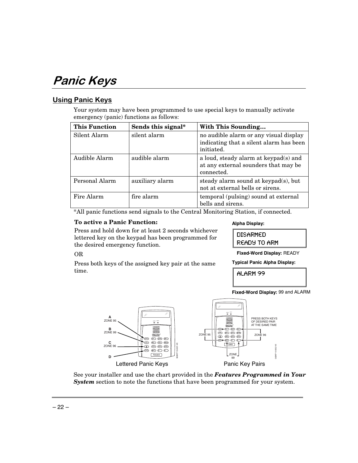## Panic Keys

## <u> Using Panic Keys</u>

OR

time.

Your system may have been programmed to use special keys to manually activate emergency (panic) functions as follows:

| <b>This Function</b> | Sends this signal* | With This Sounding                                                                              |
|----------------------|--------------------|-------------------------------------------------------------------------------------------------|
| Silent Alarm         | silent alarm       | no audible alarm or any visual display<br>indicating that a silent alarm has been<br>initiated. |
| Audible Alarm        | audible alarm      | a loud, steady alarm at keypad(s) and<br>at any external sounders that may be<br>connected.     |
| Personal Alarm       | auxiliary alarm    | steady alarm sound at keypad(s), but<br>not at external bells or sirens.                        |
| Fire Alarm           | fire alarm         | temporal (pulsing) sound at external<br>bells and sirens.                                       |

\*All panic functions send signals to the Central Monitoring Station, if connected.

#### **To active a Panic Function:**

Press and hold down for at least 2 seconds whichever lettered key on the keypad has been programmed for the desired emergency function.

Press both keys of the assigned key pair at the same

#### **Alpha Display:**

DISARMED READY TO ARM

**Fixed-Word Display:** READY

**Typical Panic Alpha Display:**

**ALARM 99** 



See your installer and use the chart provided in the *Features Programmed in Your System* section to note the functions that have been programmed for your system.

**Fixed-Word Display:** 99 and ALARM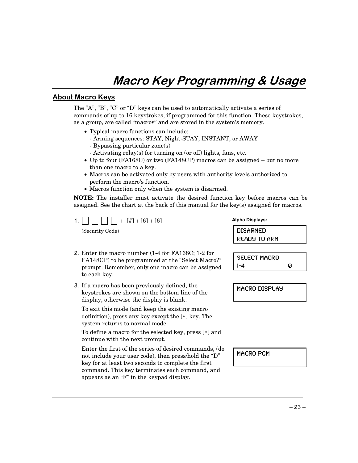## Macro Key Programming & Usage

### **About Macro Keys**

The "A", "B", "C" or "D" keys can be used to automatically activate a series of commands of up to 16 keystrokes, if programmed for this function. These keystrokes, as a group, are called "macros" and are stored in the system's memory.

- Typical macro functions can include:
	- Arming sequences: STAY, Night-STAY, INSTANT, or AWAY
	- Bypassing particular zone(s)
	- Activating relay(s) for turning on (or off) lights, fans, etc.
- Up to four (FA168C) or two (FA148CP) macros can be assigned but no more than one macro to a key.
- Macros can be activated only by users with authority levels authorized to perform the macro's function.
- Macros function only when the system is disarmed.

**NOTE:** The installer must activate the desired function key before macros can be assigned. See the chart at the back of this manual for the key(s) assigned for macros.

- 1. | | | | | | +  $\lceil \frac{4}{1} \rceil$  +  $\lceil 6 \rceil$  +  $\lceil 6 \rceil$ (Security Code)
- 2. Enter the macro number (1-4 for FA168C; 1-2 for FA148CP) to be programmed at the "Select Macro?" prompt. Remember, only one macro can be assigned to each key.
- 3. If a macro has been previously defined, the keystrokes are shown on the bottom line of the display, otherwise the display is blank.

To exit this mode (and keep the existing macro definition), press any key except the [∗] key. The system returns to normal mode.

To define a macro for the selected key, press [∗] and continue with the next prompt.

Enter the first of the series of desired commands, (do not include your user code), then press/hold the "D" key for at least two seconds to complete the first command. This key terminates each command, and appears as an "F" in the keypad display.

**Alpha Displays:**

DISARMED READY TO ARM

SELECT MACRO  $1 - 4$  0

MACRO DISPLAY

MACRO PGM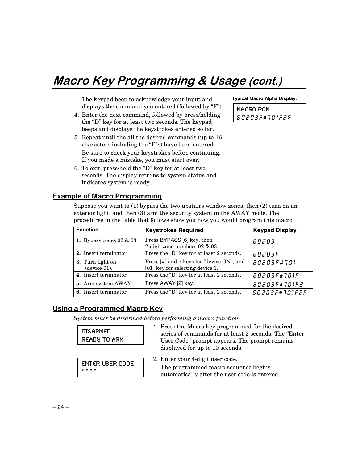## Macro Key Programming & Usage (cont.)

The keypad beep to acknowledge your input and displays the command you entered (followed by "F").

- 4. Enter the next command, followed by press/holding the "D" key for at least two seconds. The keypad beeps and displays the keystrokes entered so far.
- 5. Repeat until the all the desired commands (up to 16 characters including the "F"s) have been entered**.** Be sure to check your keystrokes before continuing. If you made a mistake, you must start over.
- 6. To exit, press/hold the "D" key for at least two seconds. The display returns to system status and indicates system is ready.

## **Typical Macro Alpha Display:**

MACRO PGM 60203F#101F2F

### **Example of Macro Programming**

Suppose you want to  $(1)$  bypass the two upstairs window zones, then  $(2)$  turn on an exterior light, and then (3) arm the security system in the AWAY mode. The procedures in the table that follows show you how you would program this macro:

| <b>Function</b>                  | <b>Keystrokes Required</b>                                                    | <b>Keypad Display</b> |
|----------------------------------|-------------------------------------------------------------------------------|-----------------------|
| 1. Bypass zones $02 \& 03$       | Press BYPASS [6] key, then<br>2-digit zone numbers $02 \& 03$ .               | 60203                 |
| 2. Insert terminator.            | Press the "D" key for at least 2 seconds.                                     | 60203F                |
| 3. Turn light on<br>(device 01). | Press [#] and 7 keys for "device ON", and<br>[01] key for selecting device 1. | 60203F#701            |
| 4. Insert terminator.            | Press the "D" key for at least 2 seconds.                                     | 60203F#101F           |
| 5. Arm system AWAY               | Press AWAY [2] key.                                                           | 60203F#701F2          |
| 6. Insert terminator.            | Press the "D" key for at least 2 seconds.                                     | 60203F#701F2F         |

### <u> Using a Programmed Macro Key</u>

*System must be disarmed before performing a macro function.*

DISARMED READY TO ARM 1. Press the Macro key programmed for the desired series of commands for at least 2 seconds. The "Enter User Code" prompt appears. The prompt remains displayed for up to 10 seconds. ENTER USER CODE  $\overline{x}$   $\overline{x}$   $\overline{x}$   $\overline{x}$ 2. Enter your 4-digit user code. The programmed macro sequence begins automatically after the user code is entered.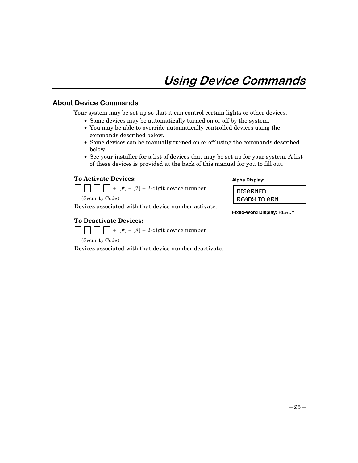## <u>About Device Commands</u>

Your system may be set up so that it can control certain lights or other devices.

- Some devices may be automatically turned on or off by the system.
- You may be able to override automatically controlled devices using the commands described below.
- Some devices can be manually turned on or off using the commands described below.
- See your installer for a list of devices that may be set up for your system. A list of these devices is provided at the back of this manual for you to fill out.

#### **To Activate Devices:**



(Security Code)

Devices associated with that device number activate.

#### **To Deactivate Devices:**

 $| \cdot | \cdot | \cdot |$   $| \cdot |$   $| + [#] + [8] + 2$ -digit device number

(Security Code)

Devices associated with that device number deactivate.

#### **Alpha Display:**

DISARMED READY TO ARM

**Fixed-Word Display:** READY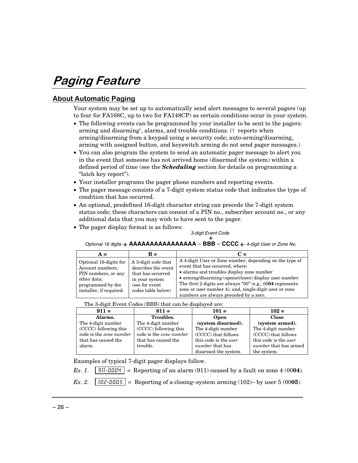## Paging Feature

## <u>About Automatic Paging</u>

Your system may be set up to automatically send alert messages to several pagers (up to four for FA168C, up to two for FA148CP) as certain conditions occur in your system.

- The following events can be programmed by your installer to be sent to the pagers: arming and disarming†, alarms, and trouble conditions. († reports when arming/disarming from a keypad using a security code; auto-arming/disarming, arming with assigned button, and keyswitch arming do not send pager messages.)
- You can also program the system to send an automatic pager message to alert you in the event that someone has not arrived home (disarmed the system) within a defined period of time (see the *Scheduling* section for details on programming a "latch key report").
- Your installer programs the pager phone numbers and reporting events.
- The pager message consists of a 7-digit system status code that indicates the type of condition that has occurred.
- An optional, predefined 16-digit character string can precede the 7-digit system status code; these characters can consist of a PIN no., subscriber account no., or any additional data that you may wish to have sent to the pager.
- The pager display format is as follows:

## 3-digit Event Code È

#### Optional 16 digits  $\rightarrow$  **AAAAAAAAAAAAAAAA** – **BBB** – **CCCC**  $\leftarrow$  4-digit User or Zone No.

| $A =$                                                                                                                            | $\mathbf{R} =$                                                                                                            | $C =$                                                                                                                                                                                                                                                                                                                                                                 |
|----------------------------------------------------------------------------------------------------------------------------------|---------------------------------------------------------------------------------------------------------------------------|-----------------------------------------------------------------------------------------------------------------------------------------------------------------------------------------------------------------------------------------------------------------------------------------------------------------------------------------------------------------------|
| Optional 16-digits for<br>Account numbers,<br>PIN numbers, or any<br>other data;<br>programmed by the<br>installer, if required. | A 3-digit code that<br>describes the event<br>that has occurred<br>in your system<br>(see for event<br>codes table below) | A 4-digit User or Zone number, depending on the type of<br>event that has occurred, where:<br>• alarms and troubles display zone number<br>• arming/disarming (opens/closes) display user number<br>The first 2 digits are always " $00$ " (e.g., 0004 represents<br>zone or user number 4), and, single-digit user or zone<br>numbers are always preceded by a zero. |

The 3-digit Event Codes (BBB) that can be displayed are:

| $911 =$                 | $811 =$                 | $101 =$                | $102 =$                      |
|-------------------------|-------------------------|------------------------|------------------------------|
| Alarms.                 | Troubles.               | Open                   | <b>Close</b>                 |
| The 4-digit number      | The 4-digit number      | (system disarmed).     | (system armed).              |
| (CCCC) following this   | (CCCC) following this   | The 4-digit number     | The 4-digit number           |
| code is the zone number | code is the zone number | (CCCC) that follows    | (CCCC) that follows          |
| that has caused the     | that has caused the     | this code is the user  | this code is the user        |
| alarm.                  | trouble.                | <i>number</i> that has | <i>number</i> that has armed |
|                         |                         | disarmed the system.   | the system.                  |

Examples of typical 7-digit pager displays follow.

*Ex. 1.*  $\vert$  911-0004  $\vert$  = Reporting of an alarm (911) caused by a fault on zone 4 (0004).

 $Ex. 2.$  |  $102 \cdot 0005$  | = Reporting of a closing-system arming  $(102)$ - by user 5 (0005).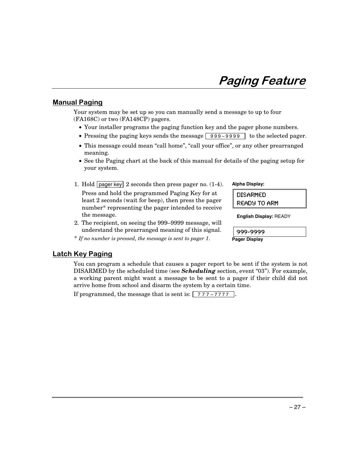## Paging Feature

### <u>Manual Paging</u>

Your system may be set up so you can manually send a message to up to four (FA168C) or two (FA148CP) pagers.

- Your installer programs the paging function key and the pager phone numbers.
- Pressing the paging keys sends the message  $\boxed{999-9999}$  to the selected pager.
- This message could mean "call home", "call your office", or any other prearranged meaning.
- See the Paging chart at the back of this manual for details of the paging setup for your system.
- 1. Hold pager key 2 seconds then press pager no. (1-4). Press and hold the programmed Paging Key for at least 2 seconds (wait for beep), then press the pager number\* representing the pager intended to receive the message.
- 2. The recipient, on seeing the 999–9999 message, will understand the prearranged meaning of this signal.

\* *If no number is pressed, the message is sent to pager 1*.

#### **Alpha Display:**

DISARMED READY TO ARM

**English Display:** READY

999-9999 **Pager Display**

#### **Latch Key Paging**

You can program a schedule that causes a pager report to be sent if the system is not DISARMED by the scheduled time (see *Scheduling* section, event "03"). For example, a working parent might want a message to be sent to a pager if their child did not arrive home from school and disarm the system by a certain time.

If programmed, the message that is sent is:  $\boxed{777-7777}$ .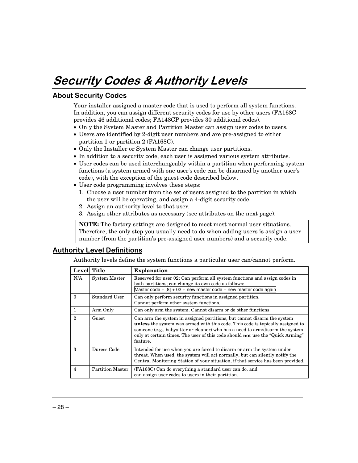## Security Codes & Authority Levels

## **<u>About Security Codes</u>**

Your installer assigned a master code that is used to perform all system functions. In addition, you can assign different security codes for use by other users (FA168C provides 46 additional codes; FA148CP provides 30 additional codes).

- Only the System Master and Partition Master can assign user codes to users.
- Users are identified by 2-digit user numbers and are pre-assigned to either partition 1 or partition 2 (FA168C).
- Only the Installer or System Master can change user partitions.
- In addition to a security code, each user is assigned various system attributes.
- User codes can be used interchangeably within a partition when performing system functions (a system armed with one user's code can be disarmed by another user's code), with the exception of the guest code described below.
- User code programming involves these steps:
	- 1. Choose a user number from the set of users assigned to the partition in which the user will be operating, and assign a 4-digit security code.
	- 2. Assign an authority level to that user.
	- 3. Assign other attributes as necessary (see attributes on the next page).

**NOTE:** The factory settings are designed to meet most normal user situations. Therefore, the only step you usually need to do when adding users is assign a user number (from the partition's pre-assigned user numbers) and a security code.

### <u>Authority Level Definitions</u>

Authority levels define the system functions a particular user can/cannot perform.

|                | Level Title          | <b>Explanation</b>                                                                                                                                                                                                                                                                                                                                     |
|----------------|----------------------|--------------------------------------------------------------------------------------------------------------------------------------------------------------------------------------------------------------------------------------------------------------------------------------------------------------------------------------------------------|
| N/A            | <b>System Master</b> | Reserved for user 02; Can perform all system functions and assign codes in<br>both partitions; can change its own code as follows:<br>Master code + $[8]$ + 02 + new master code + new master code again                                                                                                                                               |
| $\theta$       | Standard User        | Can only perform security functions in assigned partition.<br>Cannot perform other system functions.                                                                                                                                                                                                                                                   |
|                | Arm Only             | Can only arm the system. Cannot disarm or do other functions.                                                                                                                                                                                                                                                                                          |
| $\mathcal{D}$  | Guest                | Can arm the system in assigned partitions, but cannot disarm the system<br><b>unless</b> the system was armed with this code. This code is typically assigned to<br>someone (e.g., babysitter or cleaner) who has a need to arm/disarm the system<br>only at certain times. The user of this code should <b>not</b> use the "Quick Arming"<br>feature. |
| 3              | Duress Code          | Intended for use when you are forced to disarm or arm the system under<br>threat. When used, the system will act normally, but can silently notify the<br>Central Monitoring Station of your situation, if that service has been provided.                                                                                                             |
| $\overline{4}$ | Partition Master     | (FA168C) Can do everything a standard user can do, and<br>can assign user codes to users in their partition.                                                                                                                                                                                                                                           |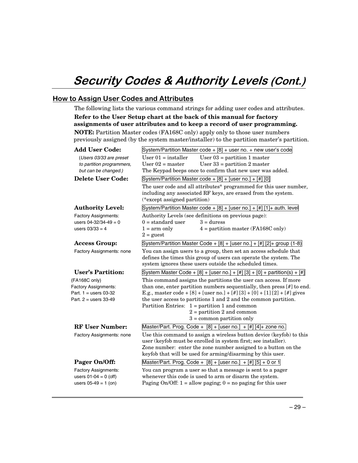## Security Codes & Authority Levels (Cont.)

## <u>How to Assign User Codes and Attributes</u>

The following lists the various command strings for adding user codes and attributes. **Refer to the User Setup chart at the back of this manual for factory assignments of user attributes and to keep a record of user programming. NOTE:** Partition Master codes (FA168C only) apply only to those user numbers previously assigned (by the system master/installer) to the partition master's partition.

| System/Partition Master code $+$ [8] $+$ user no. $+$ new user's code                                                                                                                             |  |  |  |
|---------------------------------------------------------------------------------------------------------------------------------------------------------------------------------------------------|--|--|--|
| User $01$ = installer<br>User $03$ = partition 1 master                                                                                                                                           |  |  |  |
| User $02$ = master<br>User $33$ = partition 2 master                                                                                                                                              |  |  |  |
| The Keypad beeps once to confirm that new user was added.                                                                                                                                         |  |  |  |
| System/Partition Master code + $[8]$ + [user no.] + $[#]$ [0]                                                                                                                                     |  |  |  |
| The user code and all attributes* programmed for this user number,<br>including any associated RF keys, are erased from the system.<br>(*except assigned partition)                               |  |  |  |
| System/Partition Master code + $[8]$ + [user no.] + $[#]$ [1]+ auth. level                                                                                                                        |  |  |  |
| Authority Levels (see definitions on previous page):                                                                                                                                              |  |  |  |
| $3 = \text{duress}$<br>$0 =$ standard user                                                                                                                                                        |  |  |  |
| $1 = arm only$<br>$4 =$ partition master (FA168C only)<br>$2 =$ guest                                                                                                                             |  |  |  |
| System/Partition Master Code + $[8]$ + [user no.] + $[#]$ [2]+ group (1-8)                                                                                                                        |  |  |  |
| You can assign users to a group, then set an access schedule that<br>defines the times this group of users can operate the system. The<br>system ignores these users outside the scheduled times. |  |  |  |
|                                                                                                                                                                                                   |  |  |  |
| System Master Code + $[8]$ + [user no.] + $[#]$ [3] + $[0]$ + partition(s) + $[#]$                                                                                                                |  |  |  |
| This command assigns the partitions the user can access. If more                                                                                                                                  |  |  |  |
| than one, enter partition numbers sequentially, then press $[\#]$ to end.                                                                                                                         |  |  |  |
| E.g., master code + [8] + [user no.] + [#] [3] + [0] + [1] [2] + [#] gives                                                                                                                        |  |  |  |
| the user access to partitions 1 and 2 and the common partition.                                                                                                                                   |  |  |  |
| Partition Entries: $1 =$ partition 1 and common                                                                                                                                                   |  |  |  |
| $2 =$ partition 2 and common                                                                                                                                                                      |  |  |  |
| $3 =$ common partition only                                                                                                                                                                       |  |  |  |
| Master/Part. Prog. Code + $[8]$ + [user no.] + $[#]$ [4] + zone no.                                                                                                                               |  |  |  |
| Use this command to assign a wireless button device (keyfob) to this                                                                                                                              |  |  |  |
| user (keyfob must be enrolled in system first; see installer).                                                                                                                                    |  |  |  |
| Zone number: enter the zone number assigned to a button on the<br>keyfob that will be used for arming/disarming by this user.                                                                     |  |  |  |
| Master/Part. Prog. Code + $[8]$ + [user no.] + [#] [5] + 0 or 1                                                                                                                                   |  |  |  |
| You can program a user so that a message is sent to a pager                                                                                                                                       |  |  |  |
| whenever this code is used to arm or disarm the system.                                                                                                                                           |  |  |  |
|                                                                                                                                                                                                   |  |  |  |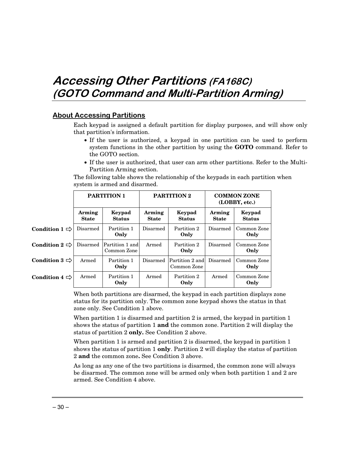## Accessing Other Partitions (FA168C) (GOTO Command and Multi-Partition Arming)

### <u>About Accessing Partitions</u>

Armed Partition 1

**Only**

Each keypad is assigned a default partition for display purposes, and will show only that partition's information.

- If the user is authorized, a keypad in one partition can be used to perform system functions in the other partition by using the **GOTO** command. Refer to the GOTO section.
- If the user is authorized, that user can arm other partitions. Refer to the Multi-Partition Arming section.

**PARTITION 1 PARTITION 2 COMMON ZONE (LOBBY, etc.) Arming State Keypad Status Arming State Keypad Status Arming State Keypad Status** Disarmed Partition 1 **Only** Disarmed Partition 2 **Only** Disarmed Common Zone **Only** Disarmed Partition 1 and Common Zone Armed Partition 2 **Only** Disarmed Common Zone **Only** Armed Partition 1 **Only** Disarmed Partition 2 and Common Zone Disarmed Common Zone **Only Condition 1**  $\Rightarrow$ **Condition 2**  $\Rightarrow$ **Condition 3**  $\Rightarrow$ 

The following table shows the relationship of the keypads in each partition when system is armed and disarmed.

When both partitions are disarmed, the keypad in each partition displays zone status for its partition only. The common zone keypad shows the status in that zone only. See Condition 1 above.

**Only**

Armed Common Zone

**Only**

Armed Partition 2

When partition 1 is disarmed and partition 2 is armed, the keypad in partition 1 shows the status of partition 1 **and** the common zone. Partition 2 will display the status of partition 2 **only.** See Condition 2 above.

When partition 1 is armed and partition 2 is disarmed, the keypad in partition 1 shows the status of partition 1 **only**. Partition 2 will display the status of partition 2 **and** the common zone**.** See Condition 3 above.

As long as any one of the two partitions is disarmed, the common zone will always be disarmed. The common zone will be armed only when both partition 1 and 2 are armed. See Condition 4 above.

**Condition 4**  $\Rightarrow$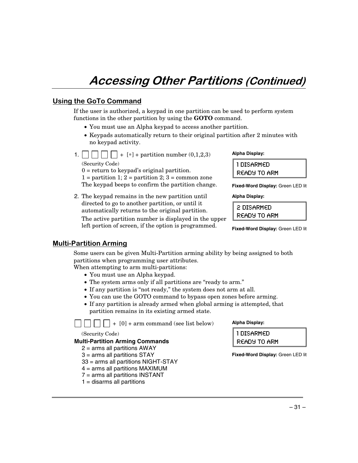## Accessing Other Partitions (Continued)

## Using the GoTo Command

If the user is authorized, a keypad in one partition can be used to perform system functions in the other partition by using the **GOTO** command.

- You must use an Alpha keypad to access another partition.
- Keypads automatically return to their original partition after 2 minutes with no keypad activity.
- 1.  $\vert \vert \vert \vert \vert \vert \vert + [*] +$  partition number (0,1,2,3) (Security Code)

 $0 =$  return to keypad's original partition.  $1 =$  partition 1;  $2 =$  partition 2;  $3 =$  common zone The keypad beeps to confirm the partition change.

2. The keypad remains in the new partition until directed to go to another partition, or until it automatically returns to the original partition. The active partition number is displayed in the upper left portion of screen, if the option is programmed.

#### **Alpha Display:**

| 1 DISARMED   |  |
|--------------|--|
| READY TO ARM |  |

**Fixed-Word Display:** Green LED lit

**Alpha Display:**

| READY TO ARM | 2 DISARMED |
|--------------|------------|
|              |            |

**Fixed-Word Display:** Green LED lit

### <u> Multi-Partition Arming</u>

Some users can be given Multi-Partition arming ability by being assigned to both partitions when programming user attributes.

When attempting to arm multi-partitions:

- You must use an Alpha keypad.
- The system arms only if all partitions are "ready to arm."
- If any partition is "not ready," the system does not arm at all.
- You can use the GOTO command to bypass open zones before arming.
- If any partition is already armed when global arming is attempted, that partition remains in its existing armed state.

+ [0] + arm command (see list below)

(Security Code)

#### **Multi-Partition Arming Commands**

- 2 = arms all partitions AWAY
- 3 = arms all partitions STAY
- 33 = arms all partitions NIGHT-STAY
- 4 = arms all partitions MAXIMUM
- 7 = arms all partitions INSTANT
- $1 =$  disarms all partitions



1DISARMED READY TO ARM

**Fixed-Word Display:** Green LED lit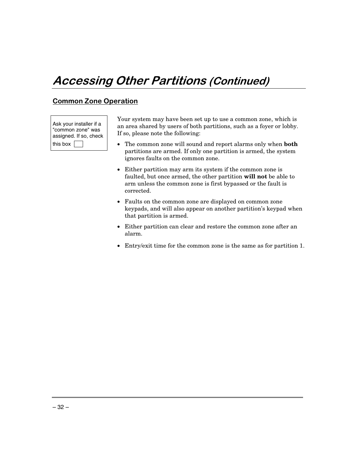## Accessing Other Partitions (Continued)

## <u>Common Zone Operation</u>

Ask your installer if a "common zone" was assigned. If so, check this box

Your system may have been set up to use a common zone, which is an area shared by users of both partitions, such as a foyer or lobby. If so, please note the following:

- The common zone will sound and report alarms only when **both** partitions are armed. If only one partition is armed, the system ignores faults on the common zone.
- Either partition may arm its system if the common zone is faulted, but once armed, the other partition **will not** be able to arm unless the common zone is first bypassed or the fault is corrected.
- Faults on the common zone are displayed on common zone keypads, and will also appear on another partition's keypad when that partition is armed.
- Either partition can clear and restore the common zone after an alarm.
- Entry/exit time for the common zone is the same as for partition 1.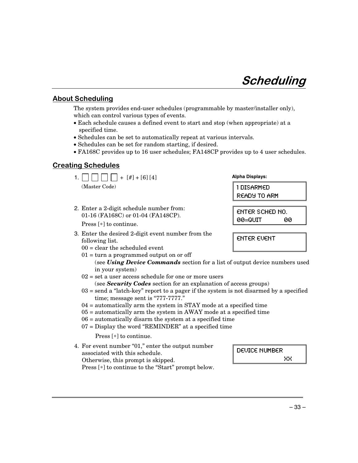## Scheduling

### **About Scheduling**

The system provides end-user schedules (programmable by master/installer only), which can control various types of events.

- Each schedule causes a defined event to start and stop (when appropriate) at a specified time.
- Schedules can be set to automatically repeat at various intervals.
- Schedules can be set for random starting, if desired.
- FA168C provides up to 16 user schedules; FA148CP provides up to 4 user schedules.

### <u>Creating Schedules</u>

| 1.1<br>$+$ [#] + [6] [4]                                                                                   | <b>Alpha Displays:</b>                       |
|------------------------------------------------------------------------------------------------------------|----------------------------------------------|
| (Master Code)                                                                                              | 1 DISARMED<br><b>READY TO ARM</b>            |
| 2. Enter a 2-digit schedule number from:<br>01-16 (FA168C) or 01-04 (FA148CP).<br>Press $[*]$ to continue. | <b>ENTER SCHED NO.</b><br>$00 = 0$ UIT<br>ЙЙ |

- 3. Enter the desired 2-digit event number from the following list.
	- 00 = clear the scheduled event
	- $01 =$  turn a programmed output on or off (see *Using Device Commands* section for a list of output device numbers used in your system)
	- $02$  = set a user access schedule for one or more users (see *Security Codes* section for an explanation of access groups)
	- $03 =$  send a "latch-key" report to a pager if the system is not disarmed by a specified time; message sent is "777-7777."
	- 04 = automatically arm the system in STAY mode at a specified time
	- 05 = automatically arm the system in AWAY mode at a specified time
	- 06 = automatically disarm the system at a specified time
	- 07 = Display the word "REMINDER" at a specified time

Press [∗] to continue.

4. For event number "01," enter the output number associated with this schedule. Otherwise, this prompt is skipped. Press [∗] to continue to the "Start" prompt below.

DEUICE NUMBER XX.

**ENTER EVENT**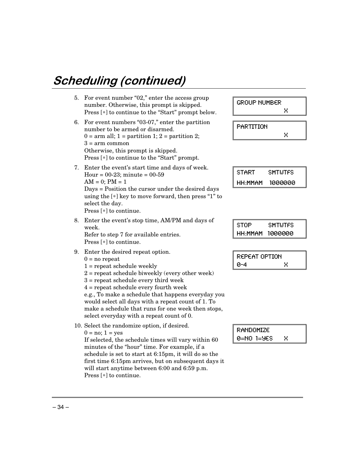# Scheduling (continued)

| 5. | For event number "02," enter the access group<br>number. Otherwise, this prompt is skipped.<br>Press [*] to continue to the "Start" prompt below.                                                                                                                                                                                                                                                                                            | <b>GROUP NUMBER</b><br>Χ                              |
|----|----------------------------------------------------------------------------------------------------------------------------------------------------------------------------------------------------------------------------------------------------------------------------------------------------------------------------------------------------------------------------------------------------------------------------------------------|-------------------------------------------------------|
| 6. | For event numbers "03-07," enter the partition<br>number to be armed or disarmed.<br>$0 = \text{arm all}; 1 = \text{partition 1}; 2 = \text{partition 2};$<br>$3 = arm common$<br>Otherwise, this prompt is skipped.<br>Press [*] to continue to the "Start" prompt.                                                                                                                                                                         | PARTITION<br>Χ                                        |
| 7. | Enter the event's start time and days of week.<br>Hour = $00-23$ ; minute = $00-59$<br>$AM = 0$ ; $PM = 1$<br>Days = Position the cursor under the desired days<br>using the $[*]$ key to move forward, then press "1" to<br>select the day.<br>Press [*] to continue.                                                                                                                                                                       | <b>START</b><br><b>SMTWTFS</b><br>HH: MMAM<br>1000000 |
| 8. | Enter the event's stop time, AM/PM and days of<br>week.<br>Refer to step 7 for available entries.<br>Press $[*]$ to continue.                                                                                                                                                                                                                                                                                                                | <b>STOP</b><br><b>SMTWTFS</b><br>1000000<br>HH MMAM   |
| 9. | Enter the desired repeat option.<br>$0 = no$ repeat<br>$1 =$ repeat schedule weekly<br>$2$ = repeat schedule biweekly (every other week)<br>$3$ = repeat schedule every third week<br>$4$ = repeat schedule every fourth week<br>e.g., To make a schedule that happens everyday you<br>would select all days with a repeat count of 1. To<br>make a schedule that runs for one week then stops,<br>select everyday with a repeat count of 0. | <b>REPEAT OPTION</b><br>$0 - 4$<br>Χ                  |
|    | 10. Select the randomize option, if desired.<br>$0 = no$ ; $1 = yes$<br>If selected, the schedule times will vary within 60<br>minutes of the "hour" time. For example, if a<br>schedule is set to start at 6:15pm, it will do so the<br>first time 6:15pm arrives, but on subsequent days it<br>will start anytime between 6:00 and 6:59 p.m.                                                                                               | RANDOMIZE<br>0=NO 1=9ES<br>Χ                          |

Press [∗] to continue.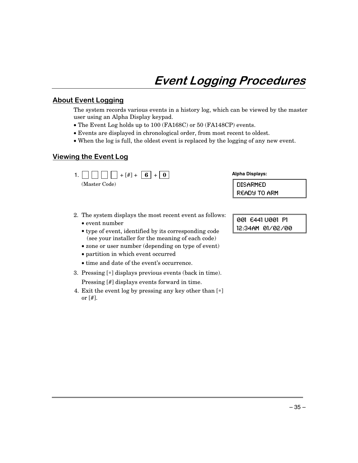## Event Logging Procedures

### <u>About Event Logging</u>

The system records various events in a history log, which can be viewed by the master user using an Alpha Display keypad.

- The Event Log holds up to 100 (FA168C) or 50 (FA148CP) events.
- Events are displayed in chronological order, from most recent to oldest.
- When the log is full, the oldest event is replaced by the logging of any new event.

### <u>Viewing the Event Log</u>

1.  $\Box$  $\Box$  $\Box$  $+$  $[$ # $]$  $+$  $\Box$  $\Box$  $+$  $\Box$ (Master Code)

**Alpha Displays:**

DISARMED READY TO ARM

- 2. The system displays the most recent event as follows:
	- event number
	- type of event, identified by its corresponding code (see your installer for the meaning of each code)
	- zone or user number (depending on type of event)
	- partition in which event occurred
	- time and date of the event's occurrence.
- 3. Pressing [∗] displays previous events (back in time).

Pressing [#] displays events forward in time.

4. Exit the event log by pressing any key other than [∗] or  $[#]$ .

001 E441 U001 P1 12:34AM 01/02/00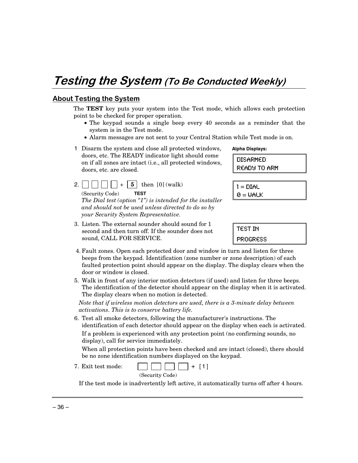## Testing the System (To Be Conducted Weekly)

### **About Testing the System**

The **TEST** key puts your system into the Test mode, which allows each protection point to be checked for proper operation.

- The keypad sounds a single beep every 40 seconds as a reminder that the system is in the Test mode.
- Alarm messages are not sent to your Central Station while Test mode is on.
- 1 Disarm the system and close all protected windows, doors, etc. The READY indicator light should come on if all zones are intact (i.e., all protected windows, doors, etc. are closed.
- 2.  $\vert \vert \vert \vert \vert \vert \vert + \vert 5 \vert$  then  $[0]$  (walk) (Security Code) **TEST** *The Dial test (option "1") is intended for the installer and should not be used unless directed to do so by your Security System Representative.*
- DISARMED

**Alpha Displays:**

READY TO ARM

- $1 = DIAL$  $0 = \text{WALK}$
- 3. Listen. The external sounder should sound for 1 second and then turn off. If the sounder does not sound, CALL FOR SERVICE.
- **TEST IN** PROGRESS
- 4. Fault zones. Open each protected door and window in turn and listen for three beeps from the keypad. Identification (zone number or zone description) of each faulted protection point should appear on the display. The display clears when the door or window is closed.
- 5. Walk in front of any interior motion detectors (if used) and listen for three beeps. The identification of the detector should appear on the display when it is activated. The display clears when no motion is detected.

*Note that if wireless motion detectors are used, there is a 3-minute delay between activations. This is to conserve battery life.*

6. Test all smoke detectors, following the manufacturer's instructions. The identification of each detector should appear on the display when each is activated. If a problem is experienced with any protection point (no confirming sounds, no display), call for service immediately.

When all protection points have been checked and are intact (closed), there should be no zone identification numbers displayed on the keypad.

7. Exit test mode:  $\Box$   $\Box$  + [1]

(Security Code)

If the test mode is inadvertently left active, it automatically turns off after 4 hours.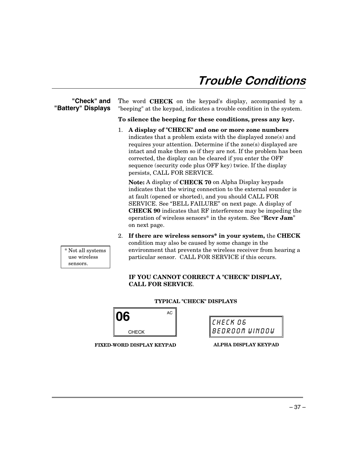## Trouble Conditions

### **"Check" and "Battery" Displays**

The word **CHECK** on the keypad's display, accompanied by a "beeping" at the keypad, indicates a trouble condition in the system.

**To silence the beeping for these conditions, press any key.**

1. **A display of "CHECK" and one or more zone numbers** indicates that a problem exists with the displayed zone(s) and requires your attention. Determine if the zone(s) displayed are intact and make them so if they are not. If the problem has been corrected, the display can be cleared if you enter the OFF sequence (security code plus OFF key) twice. If the display persists, CALL FOR SERVICE*.*

**Note:** A display of **CHECK 70** on Alpha Display keypads indicates that the wiring connection to the external sounder is at fault (opened or shorted), and you should CALL FOR SERVICE. See "BELL FAILURE" on next page. A display of **CHECK 90** indicates that RF interference may be impeding the operation of wireless sensors\* in the system. See "**Rcvr Jam**" on next page.

2. **If there are wireless sensors\* in your system,** the **CHECK** condition may also be caused by some change in the environment that prevents the wireless receiver from hearing a particular sensor. CALL FOR SERVICE if this occurs.

### **IF YOU CANNOT CORRECT A "CHECK" DISPLAY, CALL FOR SERVICE**.

**TYPICAL "CHECK" DISPLAYS**

**06** CHECK AC

CHECK 06 BEDROOM UINDOU

**FIXED-WORD DISPLAY KEYPAD**

**ALPHA DISPLAY KEYPAD**

 \* Not all systems use wireless sensors.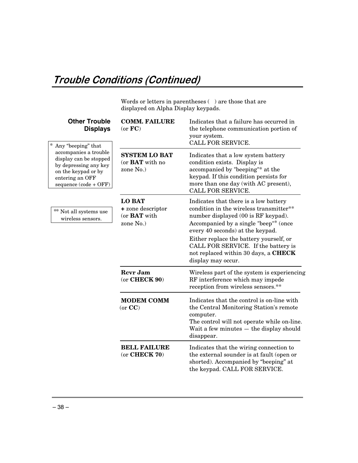Words or letters in parentheses  $(\phantom{a})$  are those that are displayed on Alpha Display keypads.

| <b>Other Trouble</b><br><b>Displays</b><br>∗<br>Any "beeping" that                                                                                                                         | <b>COMM. FAILURE</b><br>(or FC)                                        | Indicates that a failure has occurred in<br>the telephone communication portion of<br>your system.<br>CALL FOR SERVICE.                                                                                                                                                                                                                              |
|--------------------------------------------------------------------------------------------------------------------------------------------------------------------------------------------|------------------------------------------------------------------------|------------------------------------------------------------------------------------------------------------------------------------------------------------------------------------------------------------------------------------------------------------------------------------------------------------------------------------------------------|
| accompanies a trouble<br>display can be stopped<br>by depressing any key<br>on the keypad or by<br>entering an OFF<br>sequence (code + OFF)<br>** Not all systems use<br>wireless sensors. | <b>SYSTEM LO BAT</b><br>(or <b>BAT</b> with no<br>zone No.)            | Indicates that a low system battery<br>condition exists. Display is<br>accompanied by "beeping"* at the<br>keypad. If this condition persists for<br>more than one day (with AC present),<br>CALL FOR SERVICE.                                                                                                                                       |
|                                                                                                                                                                                            | <b>LO BAT</b><br>+ zone descriptor<br>(or <b>BAT</b> with<br>zone No.) | Indicates that there is a low battery<br>condition in the wireless transmitter**<br>number displayed (00 is RF keypad).<br>Accompanied by a single "beep"* (once<br>every 40 seconds) at the keypad.<br>Either replace the battery yourself, or<br>CALL FOR SERVICE. If the battery is<br>not replaced within 30 days, a CHECK<br>display may occur. |
|                                                                                                                                                                                            | <b>Revr Jam</b><br>$(or$ CHECK $90)$                                   | Wireless part of the system is experiencing<br>RF interference which may impede<br>reception from wireless sensors.**                                                                                                                                                                                                                                |
|                                                                                                                                                                                            | <b>MODEM COMM</b><br>(or CC)                                           | Indicates that the control is on-line with<br>the Central Monitoring Station's remote<br>computer.<br>The control will not operate while on-line.<br>Wait a few minutes - the display should<br>disappear.                                                                                                                                           |
|                                                                                                                                                                                            | <b>BELL FAILURE</b><br>$(or$ CHECK 70 $)$                              | Indicates that the wiring connection to<br>the external sounder is at fault (open or<br>shorted). Accompanied by "beeping" at<br>the keypad. CALL FOR SERVICE.                                                                                                                                                                                       |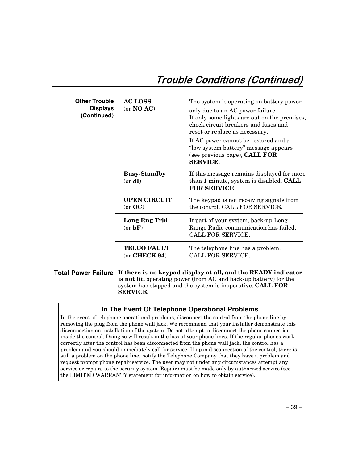## Trouble Conditions (Continued)

| <b>Other Trouble</b><br>Displays<br>(Continued) | <b>AC LOSS</b><br>(or $NO AC$ )       | The system is operating on battery power<br>only due to an AC power failure.<br>If only some lights are out on the premises,<br>check circuit breakers and fuses and<br>reset or replace as necessary.<br>If AC power cannot be restored and a<br>"low system battery" message appears<br>(see previous page), <b>CALL FOR</b><br><b>SERVICE.</b> |
|-------------------------------------------------|---------------------------------------|---------------------------------------------------------------------------------------------------------------------------------------------------------------------------------------------------------------------------------------------------------------------------------------------------------------------------------------------------|
|                                                 | <b>Busy-Standby</b><br>$(or \, dI)$   | If this message remains displayed for more<br>than 1 minute, system is disabled. <b>CALL</b><br>FOR SERVICE.                                                                                                                                                                                                                                      |
|                                                 | <b>OPEN CIRCUIT</b><br>(or OC)        | The keypad is not receiving signals from<br>the control. CALL FOR SERVICE.                                                                                                                                                                                                                                                                        |
|                                                 | Long Rng Trbl<br>(or bF)              | If part of your system, back-up Long<br>Range Radio communication has failed.<br>CALL FOR SERVICE.                                                                                                                                                                                                                                                |
|                                                 | <b>TELCO FAULT</b><br>$(or$ CHECK 94) | The telephone line has a problem.<br>CALL FOR SERVICE.                                                                                                                                                                                                                                                                                            |

**Total Power Failure If there is no keypad display at all, and the READY indicator is not lit,** operating power (from AC and back-up battery) for the system has stopped and the system is inoperative. **CALL FOR SERVICE.**

### **In The Event Of Telephone Operational Problems**

In the event of telephone operational problems, disconnect the control from the phone line by removing the plug from the phone wall jack. We recommend that your installer demonstrate this disconnection on installation of the system. Do not attempt to disconnect the phone connection inside the control. Doing so will result in the loss of your phone lines. If the regular phones work correctly after the control has been disconnected from the phone wall jack, the control has a problem and you should immediately call for service. If upon disconnection of the control, there is still a problem on the phone line, notify the Telephone Company that they have a problem and request prompt phone repair service. The user may not under any circumstances attempt any service or repairs to the security system. Repairs must be made only by authorized service (see the LIMITED WARRANTY statement for information on how to obtain service).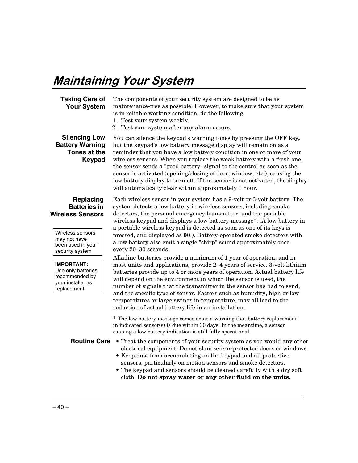## **Maintaining Your System**

#### **Taking Care of Your System**

The components of your security system are designed to be as maintenance-free as possible. However, to make sure that your system is in reliable working condition, do the following:

- 1. Test your system weekly.
- 2. Test your system after any alarm occurs.

### **Silencing Low Battery Warning Tones at the Keypad**

You can silence the keypad's warning tones by pressing the OFF key**,** but the keypad's low battery message display will remain on as a reminder that you have a low battery condition in one or more of your wireless sensors. When you replace the weak battery with a fresh one, the sensor sends a "good battery" signal to the control as soon as the sensor is activated (opening/closing of door, window, etc.), causing the low battery display to turn off. If the sensor is not activated, the display will automatically clear within approximately 1 hour.

#### **Replacing Batteries in Wireless Sensors**

Wireless sensors may not have been used in your security system

**IMPORTANT:** Use only batteries recommended by your installer as replacement.

Each wireless sensor in your system has a 9-volt or 3-volt battery. The system detects a low battery in wireless sensors, including smoke detectors, the personal emergency transmitter, and the portable wireless keypad and displays a low battery message\*. (A low battery in a portable wireless keypad is detected as soon as one of its keys is pressed, and displayed as **00**.). Battery-operated smoke detectors with a low battery also emit a single "chirp" sound approximately once every 20–30 seconds.

Alkaline batteries provide a minimum of 1 year of operation, and in most units and applications, provide 2–4 years of service. 3-volt lithium batteries provide up to 4 or more years of operation. Actual battery life will depend on the environment in which the sensor is used, the number of signals that the transmitter in the sensor has had to send, and the specific type of sensor. Factors such as humidity, high or low temperatures or large swings in temperature, may all lead to the reduction of actual battery life in an installation.

\* The low battery message comes on as a warning that battery replacement in indicated sensor(s) is due within 30 days. In the meantime, a sensor causing a low battery indication is still fully operational.

- **Routine Care •** Treat the components of your security system as you would any other electrical equipment. Do not slam sensor-protected doors or windows.
	- **•** Keep dust from accumulating on the keypad and all protective sensors, particularly on motion sensors and smoke detectors.
	- **•** The keypad and sensors should be cleaned carefully with a dry soft cloth. **Do not spray water or any other fluid on the units.**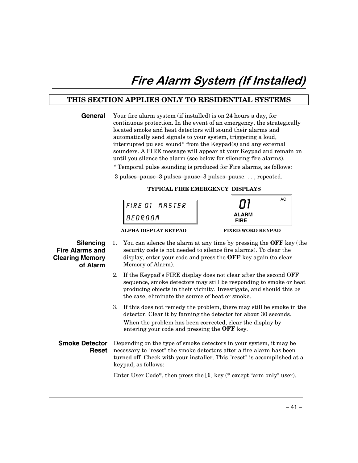## Fire Alarm System (If Installed)

### **THIS SECTION APPLIES ONLY TO RESIDENTIAL SYSTEMS**

| General | Your fire alarm system (if installed) is on 24 hours a day, for<br>continuous protection. In the event of an emergency, the strategically<br>located smoke and heat detectors will sound their alarms and<br>automatically send signals to your system, triggering a loud, |
|---------|----------------------------------------------------------------------------------------------------------------------------------------------------------------------------------------------------------------------------------------------------------------------------|
|         | interrupted pulsed sound* from the Keypad(s) and any external<br>sounders. A FIRE message will appear at your Keypad and remain on<br>until you silence the alarm (see below for silencing fire alarms).                                                                   |
|         | * Temporal pulse sounding is produced for Fire alarms, as follows:                                                                                                                                                                                                         |
|         | 3 pulses-pause-3 pulses-pause-3 pulses-pause, repeated.                                                                                                                                                                                                                    |
|         | TYPICAL FIRE EMERGENCY DISPLAYS                                                                                                                                                                                                                                            |



### **Silencing Fire Alarms and Clearing Memory of Alarm**

1. You can silence the alarm at any time by pressing the **OFF** key (the security code is not needed to silence fire alarms). To clear the display, enter your code and press the **OFF** key again (to clear Memory of Alarm).

- 2. If the Keypad's FIRE display does not clear after the second OFF sequence, smoke detectors may still be responding to smoke or heat producing objects in their vicinity. Investigate, and should this be the case, eliminate the source of heat or smoke.
- 3. If this does not remedy the problem, there may still be smoke in the detector. Clear it by fanning the detector for about 30 seconds. When the problem has been corrected, clear the display by entering your code and pressing the **OFF** key.

#### **Smoke Detector Reset** Depending on the type of smoke detectors in your system, it may be necessary to "reset" the smoke detectors after a fire alarm has been turned off. Check with your installer. This "reset" is accomplished at a keypad, as follows:

Enter User Code\*, then press the [**1**] key (\* except "arm only" user).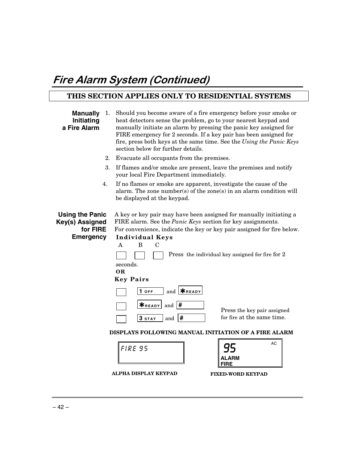## Fire Alarm System (Continued)

## **THIS SECTION APPLIES ONLY TO RESIDENTIAL SYSTEMS**

| <b>Manually</b><br>Initiating<br>a Fire Alarm                             | 1. | Should you become aware of a fire emergency before your smoke or<br>heat detectors sense the problem, go to your nearest keypad and<br>manually initiate an alarm by pressing the panic key assigned for<br>FIRE emergency for 2 seconds. If a key pair has been assigned for<br>fire, press both keys at the same time. See the Using the Panic Keys<br>section below for further details. |  |  |  |  |  |
|---------------------------------------------------------------------------|----|---------------------------------------------------------------------------------------------------------------------------------------------------------------------------------------------------------------------------------------------------------------------------------------------------------------------------------------------------------------------------------------------|--|--|--|--|--|
|                                                                           | 2. | Evacuate all occupants from the premises.                                                                                                                                                                                                                                                                                                                                                   |  |  |  |  |  |
|                                                                           | 3. | If flames and/or smoke are present, leave the premises and notify<br>your local Fire Department immediately.                                                                                                                                                                                                                                                                                |  |  |  |  |  |
|                                                                           | 4. | If no flames or smoke are apparent, investigate the cause of the<br>alarm. The zone number(s) of the zone(s) in an alarm condition will<br>be displayed at the keypad.                                                                                                                                                                                                                      |  |  |  |  |  |
| <b>Using the Panic</b><br>Key(s) Assigned<br>for FIRE<br><b>Emergency</b> |    | A key or key pair may have been assigned for manually initiating a<br>FIRE alarm. See the Panic Keys section for key assignments.<br>For convenience, indicate the key or key pair assigned for fire below.<br><b>Individual Keys</b><br>$\mathbf{A}$<br>B<br>$\mathcal{C}$<br>Press the individual key assigned for fire for 2<br>seconds.<br>OR<br><b>Key Pairs</b>                       |  |  |  |  |  |
|                                                                           |    | and $*_{\texttt{READV}}$<br>1 OFF<br><b>X</b> READY<br>#<br>and<br>Press the key pair assigned<br>for fire at the same time.<br>1#<br>3 STAY<br>and                                                                                                                                                                                                                                         |  |  |  |  |  |
|                                                                           |    | DISPLAYS FOLLOWING MANUAL INITIATION OF A FIRE ALARM                                                                                                                                                                                                                                                                                                                                        |  |  |  |  |  |
|                                                                           |    | AC<br>FIRE 95<br>FIRE                                                                                                                                                                                                                                                                                                                                                                       |  |  |  |  |  |

 **ALPHA DISPLAY KEYPAD FIXED-WORD KEYPAD**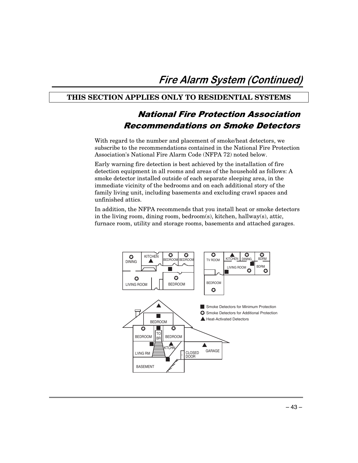## **THIS SECTION APPLIES ONLY TO RESIDENTIAL SYSTEMS**

## **National Fire Protection Association** Recommendations on Smoke Detectors

With regard to the number and placement of smoke/heat detectors, we subscribe to the recommendations contained in the National Fire Protection Association's National Fire Alarm Code (NFPA 72) noted below.

Early warning fire detection is best achieved by the installation of fire detection equipment in all rooms and areas of the household as follows: A smoke detector installed outside of each separate sleeping area, in the immediate vicinity of the bedrooms and on each additional story of the family living unit, including basements and excluding crawl spaces and unfinished attics.

In addition, the NFPA recommends that you install heat or smoke detectors in the living room, dining room, bedroom(s), kitchen, hallway(s), attic, furnace room, utility and storage rooms, basements and attached garages.

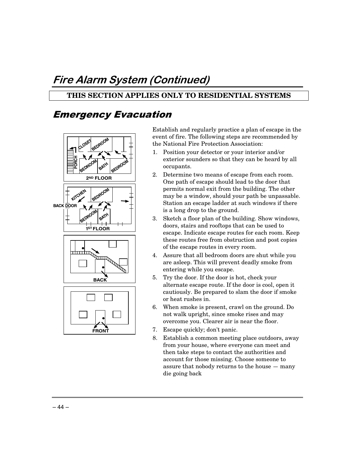## Fire Alarm System (Continued)

## **THIS SECTION APPLIES ONLY TO RESIDENTIAL SYSTEMS**

## **Emergency Evacuation**



Establish and regularly practice a plan of escape in the event of fire. The following steps are recommended by the National Fire Protection Association:

- 1. Position your detector or your interior and/or exterior sounders so that they can be heard by all occupants.
- 2. Determine two means of escape from each room. One path of escape should lead to the door that permits normal exit from the building. The other may be a window, should your path be unpassable. Station an escape ladder at such windows if there is a long drop to the ground.
- 3. Sketch a floor plan of the building. Show windows, doors, stairs and rooftops that can be used to escape. Indicate escape routes for each room. Keep these routes free from obstruction and post copies of the escape routes in every room.
- 4. Assure that all bedroom doors are shut while you are asleep. This will prevent deadly smoke from entering while you escape.
- 5. Try the door. If the door is hot, check your alternate escape route. If the door is cool, open it cautiously. Be prepared to slam the door if smoke or heat rushes in.
- 6. When smoke is present, crawl on the ground. Do not walk upright, since smoke rises and may overcome you. Clearer air is near the floor.
- 7. Escape quickly; don't panic.
- 8. Establish a common meeting place outdoors, away from your house, where everyone can meet and then take steps to contact the authorities and account for those missing. Choose someone to assure that nobody returns to the house — many die going back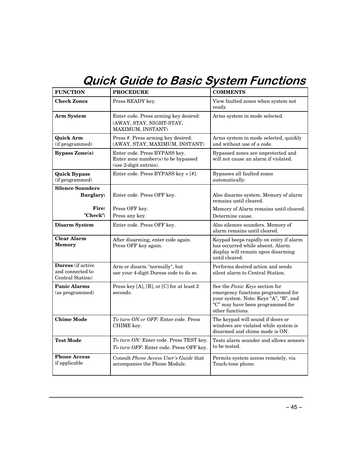## **Quick Guide to Basic System Functions**

| <b>FUNCTION</b>                                           | <b>PROCEDURE</b>                                                                               | <b>COMMENTS</b>                                                                                                                                                       |
|-----------------------------------------------------------|------------------------------------------------------------------------------------------------|-----------------------------------------------------------------------------------------------------------------------------------------------------------------------|
| <b>Check Zones</b>                                        | Press READY key.                                                                               | View faulted zones when system not<br>ready.                                                                                                                          |
| Arm System                                                | Enter code. Press arming key desired:<br>(AWAY, STAY, NIGHT-STAY,<br>MAXIMUM, INSTANT)         | Arms system in mode selected.                                                                                                                                         |
| <b>Quick Arm</b><br>(if programmed)                       | Press #. Press arming key desired:<br>(AWAY, STAY, MAXIMUM, INSTANT)                           | Arms system in mode selected, quickly<br>and without use of a code.                                                                                                   |
| <b>Bypass Zone(s)</b>                                     | Enter code. Press BYPASS key.<br>Enter zone number(s) to be bypassed<br>(use 2-digit entries). | Bypassed zones are unprotected and<br>will not cause an alarm if violated.                                                                                            |
| <b>Quick Bypass</b><br>(if programmed)                    | Enter code. Press BYPASS key + [#].                                                            | Bypasses all faulted zones<br>automatically.                                                                                                                          |
| <b>Silence Sounders</b>                                   |                                                                                                |                                                                                                                                                                       |
| <b>Burglary:</b>                                          | Enter code. Press OFF key.                                                                     | Also disarms system. Memory of alarm<br>remains until cleared.                                                                                                        |
| Fire:                                                     | Press OFF key.                                                                                 | Memory of Alarm remains until cleared.                                                                                                                                |
| "Check":                                                  | Press any key.                                                                                 | Determine cause.                                                                                                                                                      |
| <b>Disarm System</b>                                      | Enter code. Press OFF key.                                                                     | Also silences sounders. Memory of<br>alarm remains until cleared.                                                                                                     |
| <b>Clear Alarm</b><br><b>Memory</b>                       | After disarming, enter code again.<br>Press OFF key again.                                     | Keypad beeps rapidly on entry if alarm<br>has occurred while absent. Alarm<br>display will remain upon disarming<br>until cleared.                                    |
| Duress (if active<br>and connected to<br>Central Station) | Arm or disarm "normally", but<br>use your 4-digit Duress code to do so.                        | Performs desired action and sends<br>silent alarm to Central Station.                                                                                                 |
| <b>Panic Alarms</b><br>(as programmed)                    | Press key [A], [B], or [C] for at least 2<br>seconds.                                          | See the Panic Keys section for<br>emergency functions programmed for<br>your system. Note: Keys "A", "B", and<br>"C" may have been programmed for<br>other functions. |
| <b>Chime Mode</b>                                         | To turn ON or OFF: Enter code. Press<br>CHIME key.                                             | The keypad will sound if doors or<br>windows are violated while system is<br>disarmed and chime mode is ON.                                                           |
| <b>Test Mode</b>                                          | To turn ON: Enter code. Press TEST key.<br>To turn OFF: Enter code. Press OFF key.             | Tests alarm sounder and allows sensors<br>to be tested.                                                                                                               |
| <b>Phone Access</b><br>if applicable                      | Consult Phone Access User's Guide that<br>accompanies the Phone Module.                        | Permits system access remotely, via<br>Touch-tone phone.                                                                                                              |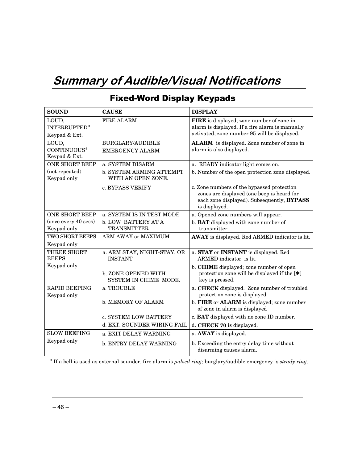## Summary of Audible/Visual Notifications

| <b>SOUND</b>                          | <b>CAUSE</b>                                      | <b>DISPLAY</b>                                                                                                                                          |
|---------------------------------------|---------------------------------------------------|---------------------------------------------------------------------------------------------------------------------------------------------------------|
| LOUD,<br>INTERRUPTED*                 | FIRE ALARM                                        | FIRE is displayed; zone number of zone in<br>alarm is displayed. If a fire alarm is manually<br>activated, zone number 95 will be displayed.            |
| Keypad & Ext.                         |                                                   |                                                                                                                                                         |
| LOUD,<br>CONTINUOUS*<br>Keypad & Ext. | <b>BURGLARY/AUDIBLE</b><br><b>EMERGENCY ALARM</b> | ALARM is displayed. Zone number of zone in<br>alarm is also displayed.                                                                                  |
| <b>ONE SHORT BEEP</b>                 | a. SYSTEM DISARM                                  | a. READY indicator light comes on.                                                                                                                      |
| (not repeated)<br>Keypad only         | b. SYSTEM ARMING ATTEMPT<br>WITH AN OPEN ZONE.    | b. Number of the open protection zone displayed.                                                                                                        |
|                                       | c. BYPASS VERIFY                                  | c. Zone numbers of the bypassed protection<br>zones are displayed (one beep is heard for<br>each zone displayed). Subsequently, BYPASS<br>is displayed. |
| <b>ONE SHORT BEEP</b>                 | a. SYSTEM IS IN TEST MODE                         | a. Opened zone numbers will appear.                                                                                                                     |
| (once every 40 secs)<br>Keypad only   | b. LOW BATTERY AT A<br><b>TRANSMITTER</b>         | b. <b>BAT</b> displayed with zone number of<br>transmitter.                                                                                             |
| <b>TWO SHORT BEEPS</b>                | ARM AWAY or MAXIMUM                               | AWAY is displayed. Red ARMED indicator is lit.                                                                                                          |
| Keypad only                           |                                                   |                                                                                                                                                         |
| <b>THREE SHORT</b><br><b>BEEPS</b>    | a. ARM STAY, NIGHT-STAY, OR<br><b>INSTANT</b>     | a. STAY or INSTANT is displayed. Red<br>ARMED indicator is lit.                                                                                         |
| Keypad only                           | b. ZONE OPENED WITH<br>SYSTEM IN CHIME MODE.      | b. CHIME displayed; zone number of open<br>protection zone will be displayed if the $[\ast]$<br>key is pressed.                                         |
| <b>RAPID BEEPING</b><br>Keypad only   | a. TROUBLE                                        | a. CHECK displayed. Zone number of troubled<br>protection zone is displayed.                                                                            |
|                                       | <b>b. MEMORY OF ALARM</b>                         | b. FIRE or ALARM is displayed; zone number<br>of zone in alarm is displayed                                                                             |
|                                       | c. SYSTEM LOW BATTERY                             | c. BAT displayed with no zone ID number.                                                                                                                |
|                                       | d. EXT. SOUNDER WIRING FAIL                       | d. CHECK 70 is displayed.                                                                                                                               |
| <b>SLOW BEEPING</b>                   | a. EXIT DELAY WARNING                             | a. AWAY is displayed.                                                                                                                                   |
| Keypad only                           | b. ENTRY DELAY WARNING                            | b. Exceeding the entry delay time without<br>disarming causes alarm.                                                                                    |

## **Fixed-Word Display Keypads**

\* If a bell is used as external sounder, fire alarm is *pulsed ring;* burglary/audible emergency is *steady ring*.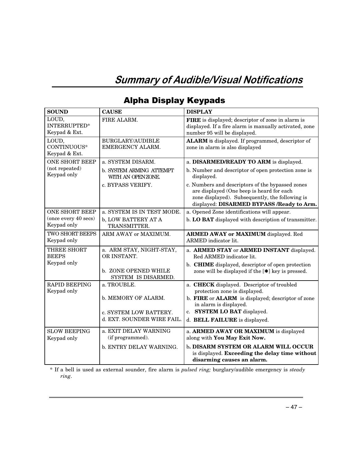## Summary of Audible/Visual Notifications

| <b>SOUND</b>                                  | <b>CAUSE</b>                                         | <b>DISPLAY</b>                                                                                                                                                                                |
|-----------------------------------------------|------------------------------------------------------|-----------------------------------------------------------------------------------------------------------------------------------------------------------------------------------------------|
| LOUD.<br><b>INTERRUPTED*</b><br>Keypad & Ext. | FIRE ALARM.                                          | FIRE is displayed; descriptor of zone in alarm is<br>displayed. If a fire alarm is manually activated, zone<br>number 95 will be displayed.                                                   |
| LOUD,<br>CONTINUOUS*<br>Keypad & Ext.         | <b>BURGLARY/AUDIBLE</b><br>EMERGENCY ALARM.          | ALARM is displayed. If programmed, descriptor of<br>zone in alarm is also displayed                                                                                                           |
| <b>ONE SHORT BEEP</b>                         | a. SYSTEM DISARM.                                    | a. DISARMED/READY TO ARM is displayed.                                                                                                                                                        |
| (not repeated)<br>Keypad only                 | <b>b. SYSTEM ARMING ATTEMPT</b><br>WITH AN OPENZONE. | b. Number and descriptor of open protection zone is<br>displayed.                                                                                                                             |
|                                               | c. BYPASS VERIFY.                                    | c. Numbers and descriptors of the bypassed zones<br>are displayed (One beep is heard for each<br>zone displayed). Subsequently, the following is<br>displayed: DISARMED BYPASS /Ready to Arm. |
| <b>ONE SHORT BEEP</b>                         | a. SYSTEM IS IN TEST MODE.                           | a. Opened Zone identifications will appear.                                                                                                                                                   |
| (once every 40 secs)<br>Keypad only           | b, LOW BATTERY AT A<br>TRANSMITTER.                  | b. LO BAT displayed with description of transmitter.                                                                                                                                          |
| <b>TWO SHORT BEEPS</b><br>Keypad only         | ARM AWAY or MAXIMUM.                                 | <b>ARMED AWAY or MAXIMUM</b> displayed. Red<br>ARMED indicator lit.                                                                                                                           |
| <b>THREE SHORT</b><br><b>BEEPS</b>            | a. ARM STAY, NIGHT-STAY,<br>OR INSTANT.              | a. ARMED STAY or ARMED INSTANT displayed.<br>Red ARMED indicator lit.                                                                                                                         |
| Keypad only                                   | <b>b. ZONE OPENED WHILE</b><br>SYSTEM IS DISARMED.   | b. CHIME displayed, descriptor of open protection<br>zone will be displayed if the [*] key is pressed.                                                                                        |
| <b>RAPID BEEPING</b><br>Keypad only           | a. TROUBLE.                                          | a. CHECK displayed. Descriptor of troubled<br>protection zone is displayed.                                                                                                                   |
|                                               | b. MEMORY OF ALARM.                                  | b. FIRE or ALARM is displayed; descriptor of zone<br>in alarm is displayed.                                                                                                                   |
|                                               | c. SYSTEM LOW BATTERY.                               | c. SYSTEM LO BAT displayed.                                                                                                                                                                   |
|                                               | d. EXT. SOUNDER WIRE FAIL.                           | d. BELL FAILURE is displayed.                                                                                                                                                                 |
| <b>SLOW BEEPING</b>                           | a. EXIT DELAY WARNING                                | a. ARMED AWAY OR MAXIMUM is displayed                                                                                                                                                         |
| Keypad only                                   | (if programmed).                                     | along with You May Exit Now.                                                                                                                                                                  |
|                                               | b. ENTRY DELAY WARNING.                              | b. DISARM SYSTEM OR ALARM WILL OCCUR<br>is displayed. Exceeding the delay time without<br>disarming causes an alarm.                                                                          |

## Alpha Display Keypads

\* If a bell is used as external sounder, fire alarm is *pulsed ring;* burglary/audible emergency is *steady ring*.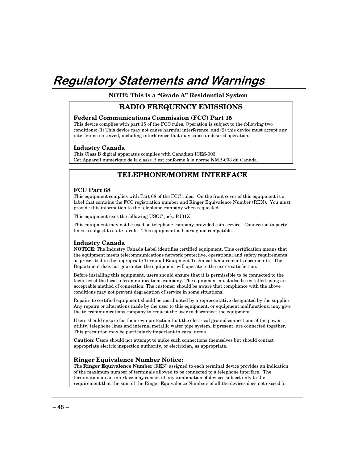## Regulatory Statements and Warnings

**NOTE: This is a "Grade A" Residential System**

#### **RADIO FREQUENCY EMISSIONS**

#### **Federal Communications Commission (FCC) Part 15**

This device complies with part 15 of the FCC rules. Operation is subject to the following two conditions: (1) This device may not cause harmful interference, and (2) this device must accept any interference received, including interference that may cause undesired operation.

#### **Industry Canada**

This Class B digital apparatus complies with Canadian ICES-003. Cet Appareil numérique de la classe B est conforme à la norme NMB-003 du Canada.

### **TELEPHONE/MODEM INTERFACE**

#### **FCC Part 68**

This equipment complies with Part 68 of the FCC rules. On the front cover of this equipment is a label that contains the FCC registration number and Ringer Equivalence Number (REN). You must provide this information to the telephone company when requested.

This equipment uses the following USOC jack: RJ31X

This equipment may not be used on telephone-company-provided coin service. Connection to party lines is subject to state tariffs. This equipment is hearing-aid compatible.

#### **Industry Canada**

**NOTICE:** The Industry Canada Label identifies certified equipment. This certification means that the equipment meets telecommunications network protective, operational and safety requirements as prescribed in the appropriate Terminal Equipment Technical Requirements document(s). The Department does not guarantee the equipment will operate to the user's satisfaction.

Before installing this equipment, users should ensure that it is permissible to be connected to the facilities of the local telecommunications company. The equipment must also be installed using an acceptable method of connection. The customer should be aware that compliance with the above conditions may not prevent degradation of service in some situations.

Repairs to certified equipment should be coordinated by a representative designated by the supplier. Any repairs or alterations made by the user to this equipment, or equipment malfunctions, may give the telecommunications company to request the user to disconnect the equipment.

Users should ensure for their own protection that the electrical ground connections of the power utility, telephone lines and internal metallic water pipe system, if present, are connected together, This precaution may be particularly important in rural areas.

**Caution:** Users should not attempt to make such connections themselves but should contact appropriate electric inspection authority, or electrician, as appropriate.

#### **Ringer Equivalence Number Notice:**

The **Ringer Equivalence Number** (REN) assigned to each terminal device provides an indication of the maximum number of terminals allowed to be connected to a telephone interface. The termination on an interface may consist of any combination of devices subject only to the requirement that the sum of the Ringer Equivalence Numbers of all the devices does not exceed 5.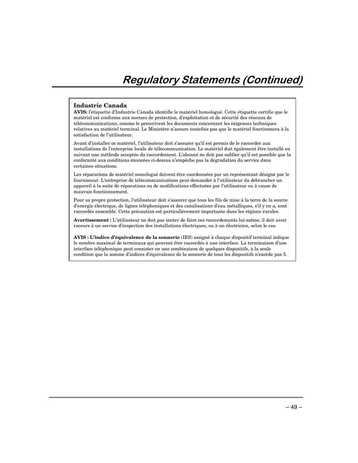#### **Industrie Canada**

**AVIS:** l'étiquette d'Industrie Canada identifie le matériel homologué. Cette étiquette certifie que le matériel est conforme aux normes de protection, d'exploitation et de sécurité des réseaux de télécommunications, comme le prescrivent les documents concernant les exigences techniques relatives au matériel terminal. Le Ministère n'assure toutefois pas que le matériel fonctionnera à la satisfaction de l'utilisateur.

Avant d'installer ce matériel, l'utilisateur doit s'assurer qu'il est permis de le raccorder aux installations de l'enterprise locale de télécommunication. Le matériel doit également être installé en suivant une méthode acceptée da raccordement. L'abonné ne doit pas oublier qu'il est possible que la conformité aux conditions énoncées ci-dessus n'empêche pas la dégradation du service dans certaines situations.

Les réparations de matériel nomologué doivent être coordonnées par un représentant désigné par le fournisseur. L'entreprise de télécommunications peut demander à l'utilisateur da débrancher un appareil à la suite de réparations ou de modifications effectuées par l'utilisateur ou à cause de mauvais fonctionnement.

Pour sa propre protection, l'utilisateur doit s'assurer que tous les fils de mise à la terre de la source d'energie électrique, de lignes téléphoniques et des canalisations d'eau métalliques, s'il y en a, sont raccordés ensemble. Cette précaution est particulièrement importante dans les régions rurales.

**Avertissement :** L'utilisateur ne doit pas tenter de faire ces raccordements lui-même; il doit avoir racours à un service d'inspection des installations électriques, ou à un électricien, selon le cas.

**AVIS : L'indice d'équivalence de la sonnerie** (IES) assigné à chaque dispositif terminal indique le nombre maximal de terminaux qui peuvent être raccordés à une interface. La terminaison d'une interface téléphonique peut consister en une combinaison de quelques dispositifs, à la seule condition que la somme d'indices d'équivalence de la sonnerie de tous les dispositifs n'excède pas 5.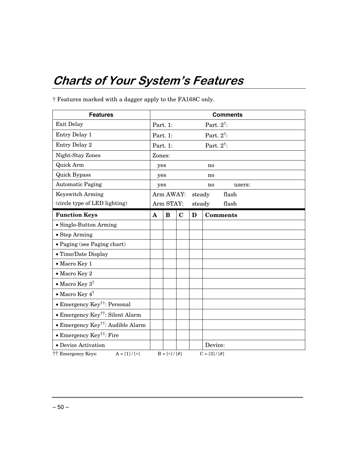## **Charts of Your System's Features**

| <b>Features</b>                               | <b>Comments</b> |                     |             |        |                       |
|-----------------------------------------------|-----------------|---------------------|-------------|--------|-----------------------|
| <b>Exit Delay</b>                             | Part. 1:        |                     |             |        | Part. $2^{\dagger}$ : |
| Entry Delay 1                                 | Part. 1:        |                     |             |        | Part. $2^{\dagger}$ : |
| Entry Delay 2                                 | Part. 1:        |                     |             |        | Part. $2^{\dagger}$ : |
| Night-Stay Zones                              | Zones:          |                     |             |        |                       |
| Quick Arm                                     | yes<br>no       |                     |             |        |                       |
| <b>Quick Bypass</b>                           | yes             |                     |             |        | no                    |
| <b>Automatic Paging</b>                       | yes             |                     |             |        | no<br>users:          |
| <b>Keyswitch Arming</b>                       |                 | Arm AWAY:           |             | steady | flash                 |
| (circle type of LED lighting)                 |                 | Arm STAY:           |             | steady | flash                 |
| <b>Function Keys</b>                          | $\mathbf A$     | $\bf{B}$            | $\mathbf C$ | D      | <b>Comments</b>       |
| • Single-Button Arming                        |                 |                     |             |        |                       |
| • Step Arming                                 |                 |                     |             |        |                       |
| · Paging (see Paging chart)                   |                 |                     |             |        |                       |
| • Time/Date Display                           |                 |                     |             |        |                       |
| • Macro Key 1                                 |                 |                     |             |        |                       |
| • Macro Key 2                                 |                 |                     |             |        |                       |
| • Macro Key $3^{\dagger}$                     |                 |                     |             |        |                       |
| • Macro Key $4^{\dagger}$                     |                 |                     |             |        |                       |
| • Emergency Key <sup>††</sup> : Personal      |                 |                     |             |        |                       |
| • Emergency Key <sup>††</sup> : Silent Alarm  |                 |                     |             |        |                       |
| • Emergency Key <sup>††</sup> : Audible Alarm |                 |                     |             |        |                       |
| • Emergency Key <sup>††</sup> : Fire          |                 |                     |             |        |                       |
| • Device Activation                           |                 |                     |             |        | Device:               |
| 计 Emergency Keys:<br>$A = [1] / [*]$          |                 | $B = [ * ] / [ # ]$ |             |        | $C = [3]/[#]$         |

† Features marked with a dagger apply to the FA168C only.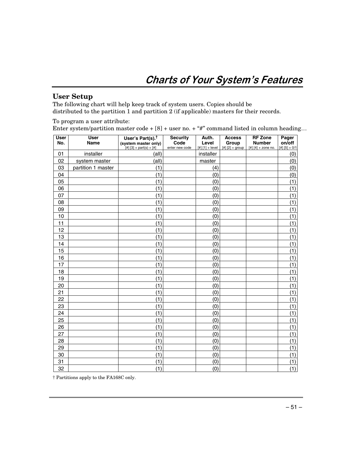## **Charts of Your System's Features**

### **User Setup**

The following chart will help keep track of system users. Copies should be distributed to the partition 1 and partition 2 (if applicable) masters for their records.

To program a user attribute:

Enter system/partition master code +  $[8]$  + user no. + "#" command listed in column heading...

| <b>User</b><br>No. | <b>User</b><br>Name | User's Part(s). <sup>†</sup><br>(system master only) | <b>Security</b><br>Code | Auth.<br>Level    | <b>Access</b><br>Group | <b>RF Zone</b><br><b>Number</b> | Pager<br>on/off |
|--------------------|---------------------|------------------------------------------------------|-------------------------|-------------------|------------------------|---------------------------------|-----------------|
|                    |                     | $[#][3] + part(s) + [#]$                             | enter new code          | $[#] [1] + level$ | $[#] [2] + group$      | $[#] [4] +$ zone no.            | $[#] [5] + 0/1$ |
| 01                 | installer           | (all)                                                |                         | installer         |                        |                                 | (0)             |
| 02                 | system master       | (all)                                                |                         | master            |                        |                                 | (0)             |
| 03                 | partition 1 master  | (1)                                                  |                         | (4)               |                        |                                 | (0)             |
| 04                 |                     | (1)                                                  |                         | (0)               |                        |                                 | (0)             |
| 05                 |                     | (1)                                                  |                         | (0)               |                        |                                 | (1)             |
| 06                 |                     | (1)                                                  |                         | (0)               |                        |                                 | (1)             |
| 07                 |                     | (1)                                                  |                         | (0)               |                        |                                 | (1)             |
| 08                 |                     | (1)                                                  |                         | (0)               |                        |                                 | (1)             |
| 09                 |                     | (1)                                                  |                         | (0)               |                        |                                 | (1)             |
| 10                 |                     | (1)                                                  |                         | (0)               |                        |                                 | (1)             |
| 11                 |                     | (1)                                                  |                         | (0)               |                        |                                 | (1)             |
| 12                 |                     | (1)                                                  |                         | (0)               |                        |                                 | (1)             |
| 13                 |                     | (1)                                                  |                         | (0)               |                        |                                 | (1)             |
| 14                 |                     | (1)                                                  |                         | (0)               |                        |                                 | (1)             |
| 15                 |                     | (1)                                                  |                         | (0)               |                        |                                 | (1)             |
| 16                 |                     | (1)                                                  |                         | (0)               |                        |                                 | (1)             |
| 17                 |                     | (1)                                                  |                         | (0)               |                        |                                 | (1)             |
| 18                 |                     | (1)                                                  |                         | (0)               |                        |                                 | (1)             |
| 19                 |                     | (1)                                                  |                         | (0)               |                        |                                 | (1)             |
| 20                 |                     | (1)                                                  |                         | (0)               |                        |                                 | (1)             |
| 21                 |                     | (1)                                                  |                         | (0)               |                        |                                 | (1)             |
| 22                 |                     | (1)                                                  |                         | (0)               |                        |                                 | (1)             |
| 23                 |                     | (1)                                                  |                         | (0)               |                        |                                 | (1)             |
| 24                 |                     | (1)                                                  |                         | (0)               |                        |                                 | (1)             |
| 25                 |                     | (1)                                                  |                         | (0)               |                        |                                 | (1)             |
| 26                 |                     | (1)                                                  |                         | (0)               |                        |                                 | (1)             |
| 27                 |                     | (1)                                                  |                         | (0)               |                        |                                 | (1)             |
| 28                 |                     | (1)                                                  |                         | (0)               |                        |                                 | (1)             |
| 29                 |                     | (1)                                                  |                         | (0)               |                        |                                 | (1)             |
| 30                 |                     | (1)                                                  |                         | (0)               |                        |                                 | (1)             |
| 31                 |                     | (1)                                                  |                         | (0)               |                        |                                 | (1)             |
| 32                 |                     | (1)                                                  |                         | (0)               |                        |                                 | (1)             |

† Partitions apply to the FA168C only.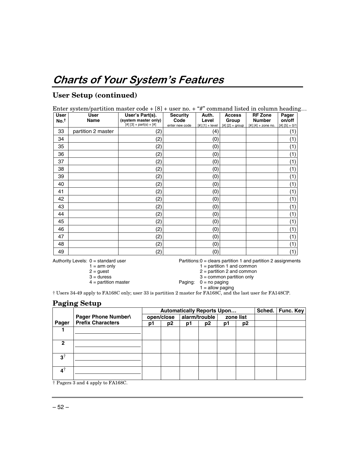## **User Setup (continued)**

| <b>User</b><br>No. <sup>t</sup> | <b>User</b><br><b>Name</b> | User's Part(s).<br>(system master only)<br>$[#] [3] + part(s) + [#]$ | <b>Security</b><br>Code<br>enter new code | Auth.<br>Level<br>$[#] [1] + level$ | <b>Access</b><br>Group<br>$[#] [2] + group$ | <b>RF Zone</b><br><b>Number</b><br>$[#] [4] +$ zone no. $[#] [5] + 0/1$ | Pager<br>on/off |
|---------------------------------|----------------------------|----------------------------------------------------------------------|-------------------------------------------|-------------------------------------|---------------------------------------------|-------------------------------------------------------------------------|-----------------|
| 33                              | partition 2 master         | (2)                                                                  |                                           | (4)                                 |                                             |                                                                         | (1              |
| 34                              |                            | (2)                                                                  |                                           | (0)                                 |                                             |                                                                         | (1)             |
| 35                              |                            | (2)                                                                  |                                           | (0)                                 |                                             |                                                                         | (1              |
| 36                              |                            | (2)                                                                  |                                           | (0)                                 |                                             |                                                                         | (1)             |
| 37                              |                            | (2)                                                                  |                                           | (0)                                 |                                             |                                                                         | (1)             |
| 38                              |                            | (2)                                                                  |                                           | (0)                                 |                                             |                                                                         | (1)             |
| 39                              |                            | (2)                                                                  |                                           | (0)                                 |                                             |                                                                         | (1)             |
| 40                              |                            | (2)                                                                  |                                           | (0)                                 |                                             |                                                                         | (1)             |
| 41                              |                            | (2)                                                                  |                                           | (0)                                 |                                             |                                                                         | (1)             |
| 42                              |                            | (2)                                                                  |                                           | (0)                                 |                                             |                                                                         | (1)             |
| 43                              |                            | (2)                                                                  |                                           | (0)                                 |                                             |                                                                         | (1)             |
| 44                              |                            | (2)                                                                  |                                           | (0)                                 |                                             |                                                                         | (1)             |
| 45                              |                            | (2)                                                                  |                                           | (0)                                 |                                             |                                                                         | (1)             |
| 46                              |                            | (2)                                                                  |                                           | (0)                                 |                                             |                                                                         | (1)             |
| 47                              |                            | (2)                                                                  |                                           | (0)                                 |                                             |                                                                         | (1)             |
| 48                              |                            | (2)                                                                  |                                           | (0)                                 |                                             |                                                                         | (1)             |
| 49                              |                            | (2)                                                                  |                                           | (0)                                 |                                             |                                                                         | (1)             |

Authority Levels: 0 = standard user Partitions:0 = clears partition 1 and partition 2 assignments<br>1 = arm only 1 = partition 1 and common

 $1 = \text{arm only}$ <br>  $2 = \text{guest}$ <br>  $2 = \text{partition 1 and common}$ <br>  $1 = \text{partition 1 and common}$ 

 $2 = \text{guest}$ <br> $3 = \text{duress}$ <br> $3 = \text{common partition only}$  $3 =$  common partition only

4 = partition master Paging: 0 = no paging  $1 =$  allow paging

† Users 34-49 apply to FA168C only; user 33 is partition 2 master for FA168C, and the last user for FA148CP.

## **Paging Setup**

|               |                          | <b>Automatically Reports Upon</b> |                |               |                |           |                | Sched.   Func. Key |
|---------------|--------------------------|-----------------------------------|----------------|---------------|----------------|-----------|----------------|--------------------|
|               | Pager Phone Number\      |                                   | open/close     | alarm/trouble |                | zone list |                |                    |
| Pager         | <b>Prefix Characters</b> | p1                                | p <sub>2</sub> | p1            | p <sub>2</sub> | p1        | p <sub>2</sub> |                    |
|               |                          |                                   |                |               |                |           |                |                    |
|               |                          |                                   |                |               |                |           |                |                    |
| 2             |                          |                                   |                |               |                |           |                |                    |
|               |                          |                                   |                |               |                |           |                |                    |
| $3^{\dagger}$ |                          |                                   |                |               |                |           |                |                    |
|               |                          |                                   |                |               |                |           |                |                    |
| $4^{\dagger}$ |                          |                                   |                |               |                |           |                |                    |
|               |                          |                                   |                |               |                |           |                |                    |

† Pagers 3 and 4 apply to FA168C.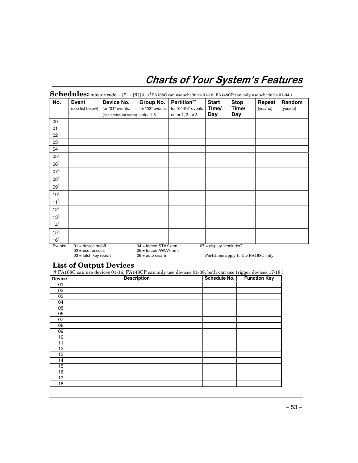## **Charts of Your System's Features**

| No.            | <b>Event</b>                                                          | Device No.              | Group No.                                                              | Partition <sup>††</sup> | <b>Start</b>              | <b>Stop</b>                                        | Repeat   | Random   |
|----------------|-----------------------------------------------------------------------|-------------------------|------------------------------------------------------------------------|-------------------------|---------------------------|----------------------------------------------------|----------|----------|
|                | (see list below)                                                      | for "01" events:        | for "02" events:                                                       | for "04-06" events:     | Time/                     | Time/                                              | (yes/no) | (yes/no) |
|                |                                                                       | (see device list below) | enter 1-8                                                              | enter 1, 2, or 3        | Day                       | Day                                                |          |          |
| 00             |                                                                       |                         |                                                                        |                         |                           |                                                    |          |          |
| 01             |                                                                       |                         |                                                                        |                         |                           |                                                    |          |          |
| 02             |                                                                       |                         |                                                                        |                         |                           |                                                    |          |          |
| 03             |                                                                       |                         |                                                                        |                         |                           |                                                    |          |          |
| 04             |                                                                       |                         |                                                                        |                         |                           |                                                    |          |          |
| $05^{\dagger}$ |                                                                       |                         |                                                                        |                         |                           |                                                    |          |          |
| $06^{\dagger}$ |                                                                       |                         |                                                                        |                         |                           |                                                    |          |          |
| $07^{\dagger}$ |                                                                       |                         |                                                                        |                         |                           |                                                    |          |          |
| $08^{\dagger}$ |                                                                       |                         |                                                                        |                         |                           |                                                    |          |          |
| $09^{\dagger}$ |                                                                       |                         |                                                                        |                         |                           |                                                    |          |          |
| $10^{\dagger}$ |                                                                       |                         |                                                                        |                         |                           |                                                    |          |          |
| $11^{\dagger}$ |                                                                       |                         |                                                                        |                         |                           |                                                    |          |          |
| $12^{\dagger}$ |                                                                       |                         |                                                                        |                         |                           |                                                    |          |          |
| $13^{\dagger}$ |                                                                       |                         |                                                                        |                         |                           |                                                    |          |          |
| $14^{\dagger}$ |                                                                       |                         |                                                                        |                         |                           |                                                    |          |          |
| $15^{\dagger}$ |                                                                       |                         |                                                                        |                         |                           |                                                    |          |          |
| $16^{\dagger}$ |                                                                       |                         |                                                                        |                         |                           |                                                    |          |          |
| Events:        | $01$ = device on/off<br>$02 =$ user access<br>$03$ = latch key report |                         | $04 =$ forced STAY arm<br>$05 =$ forced AWAY arm<br>$06 =$ auto disarm |                         | $07 =$ display "reminder" | <sup>††</sup> Partitions apply to the FA168C only. |          |          |

## **List of Output Devices**

(† FA168C can use devices 01-16; FA148CP can only use devices 01-08; both can use trigger devices 17/18.)

| Device <sup>†</sup> | <b>Description</b> | Schedule No. | <b>Function Key</b> |
|---------------------|--------------------|--------------|---------------------|
| 01                  |                    |              |                     |
| 02                  |                    |              |                     |
| 03                  |                    |              |                     |
| 04                  |                    |              |                     |
| 05                  |                    |              |                     |
| 06                  |                    |              |                     |
| 07                  |                    |              |                     |
| 08                  |                    |              |                     |
| 09                  |                    |              |                     |
| 10                  |                    |              |                     |
| 11                  |                    |              |                     |
| 12                  |                    |              |                     |
| 13                  |                    |              |                     |
| 14                  |                    |              |                     |
| 15                  |                    |              |                     |
| 16                  |                    |              |                     |
| 17                  |                    |              |                     |
| 18                  |                    |              |                     |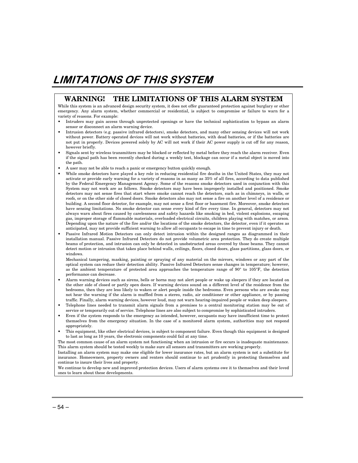## **LIMITATIONS OF THIS SYSTEM**

#### **WARNING! THE LIMITATIONS OF THIS ALARM SYSTEM**

While this system is an advanced design security system, it does not offer guaranteed protection against burglary or other emergency. Any alarm system, whether commercial or residential, is subject to compromise or failure to warn for a variety of reasons. For example:

- Intruders may gain access through unprotected openings or have the technical sophistication to bypass an alarm sensor or disconnect an alarm warning device.
- Intrusion detectors (e.g. passive infrared detectors), smoke detectors, and many other sensing devices will not work without power. Battery operated devices will not work without batteries, with dead batteries, or if the batteries are not put in properly. Devices powered solely by AC will not work if their AC power supply is cut off for any reason, however briefly.
- Signals sent by wireless transmitters may be blocked or reflected by metal before they reach the alarm receiver. Even if the signal path has been recently checked during a weekly test, blockage can occur if a metal object is moved into the path.
- A user may not be able to reach a panic or emergency button quickly enough.
- While smoke detectors have played a key role in reducing residential fire deaths in the United States, they may not activate or provide early warning for a variety of reasons in as many as 35% of all fires, according to data published by the Federal Emergency Management Agency. Some of the reasons smoke detectors used in conjunction with this System may not work are as follows. Smoke detectors may have been improperly installed and positioned. Smoke detectors may not sense fires that start where smoke cannot reach the detectors, such as in chimneys, in walls, or roofs, or on the other side of closed doors. Smoke detectors also may not sense a fire on another level of a residence or building. A second floor detector, for example, may not sense a first floor or basement fire. Moreover, smoke detectors have sensing limitations. No smoke detector can sense every kind of fire every time. In general, detectors may not always warn about fires caused by carelessness and safety hazards like smoking in bed, violent explosions, escaping gas, improper storage of flammable materials, overloaded electrical circuits, children playing with matches, or arson. Depending upon the nature of the fire and/or the locations of the smoke detectors, the detector, even if it operates as anticipated, may not provide sufficient warning to allow all occupants to escape in time to prevent injury or death.
- Passive Infrared Motion Detectors can only detect intrusion within the designed ranges as diagrammed in their installation manual. Passive Infrared Detectors do not provide volumetric area protection. They do create multiple beams of protection, and intrusion can only be detected in unobstructed areas covered by those beams. They cannot detect motion or intrusion that takes place behind walls, ceilings, floors, closed doors, glass partitions, glass doors, or windows.

Mechanical tampering, masking, painting or spraying of any material on the mirrors, windows or any part of the optical system can reduce their detection ability. Passive Infrared Detectors sense changes in temperature; however, as the ambient temperature of protected area approaches the temperature range of 90° to 105°F, the detection performance can decrease.

- Alarm warning devices such as sirens, bells or horns may not alert people or wake up sleepers if they are located on the other side of closed or partly open doors. If warning devices sound on a different level of the residence from the bedrooms, then they are less likely to waken or alert people inside the bedrooms. Even persons who are awake may not hear the warning if the alarm is muffled from a stereo, radio, air conditioner or other appliance, or by passing traffic. Finally, alarm warning devices, however loud, may not warn hearing-impaired people or waken deep sleepers.
- Telephone lines needed to transmit alarm signals from a premises to a central monitoring station may be out of service or temporarily out of service. Telephone lines are also subject to compromise by sophisticated intruders.
- Even if the system responds to the emergency as intended, however, occupants may have insufficient time to protect themselves from the emergency situation. In the case of a monitored alarm system, authorities may not respond appropriately.
- This equipment, like other electrical devices, is subject to component failure. Even though this equipment is designed to last as long as 10 years, the electronic components could fail at any time.

The most common cause of an alarm system not functioning when an intrusion or fire occurs is inadequate maintenance. This alarm system should be tested weekly to make sure all sensors and transmitters are working properly.

Installing an alarm system may make one eligible for lower insurance rates, but an alarm system is not a substitute for insurance. Homeowners, property owners and renters should continue to act prudently in protecting themselves and continue to insure their lives and property.

We continue to develop new and improved protection devices. Users of alarm systems owe it to themselves and their loved ones to learn about these developments.